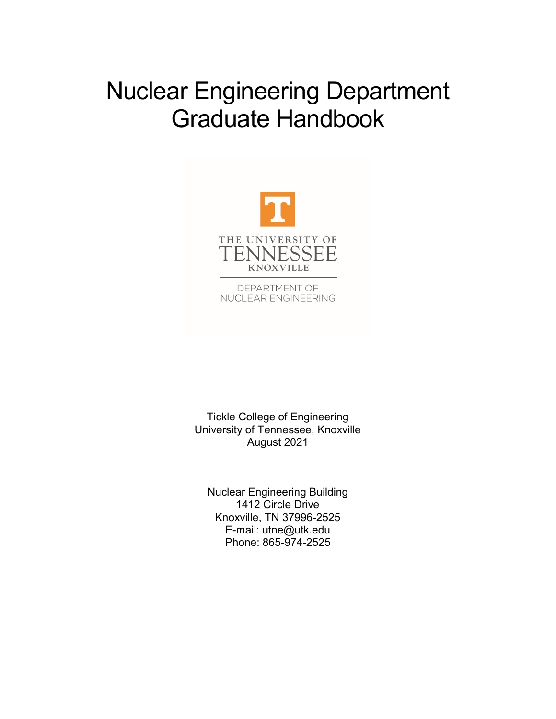# Nuclear Engineering Department Graduate Handbook



DEPARTMENT OF NUCLEAR ENGINEERING

Tickle College of Engineering University of Tennessee, Knoxville August 2021

Nuclear Engineering Building 1412 Circle Drive Knoxville, TN 37996-2525 E-mail: [utne@utk.edu](mailto:utne@utk.edu) Phone: 865-974-2525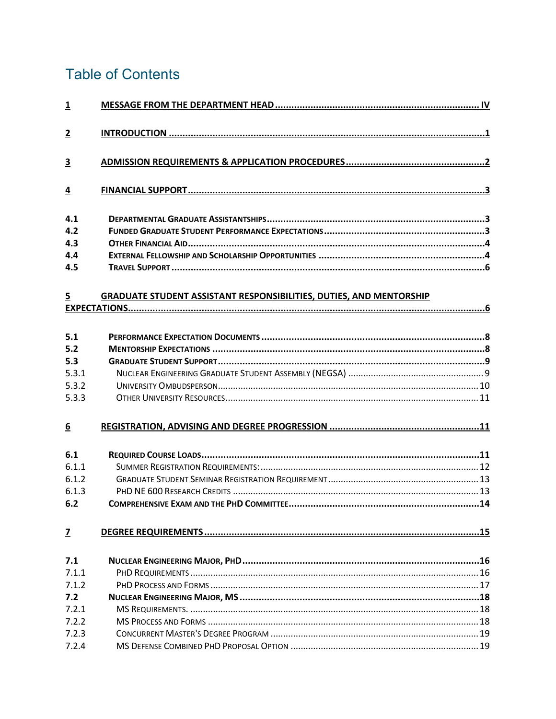## **Table of Contents**

| $\overline{\mathbf{1}}$ |                                                                            |
|-------------------------|----------------------------------------------------------------------------|
| $\overline{2}$          |                                                                            |
| $\overline{\mathbf{3}}$ |                                                                            |
| $\overline{4}$          |                                                                            |
| 4.1                     |                                                                            |
| 4.2                     |                                                                            |
| 4.3                     |                                                                            |
| 4.4                     |                                                                            |
| 4.5                     |                                                                            |
| $\overline{5}$          | <b>GRADUATE STUDENT ASSISTANT RESPONSIBILITIES, DUTIES, AND MENTORSHIP</b> |
|                         |                                                                            |
|                         |                                                                            |
| 5.1                     |                                                                            |
| 5.2                     |                                                                            |
| 5.3                     |                                                                            |
| 5.3.1                   |                                                                            |
| 5.3.2                   |                                                                            |
| 5.3.3                   |                                                                            |
| $\underline{6}$         |                                                                            |
| 6.1                     |                                                                            |
| 6.1.1                   |                                                                            |
| 6.1.2                   |                                                                            |
| 6.1.3                   |                                                                            |
| 6.2                     |                                                                            |
| $\overline{z}$          |                                                                            |
| 7.1                     |                                                                            |
| 7.1.1                   |                                                                            |
| 7.1.2                   |                                                                            |
| 7.2                     |                                                                            |
| 7.2.1                   |                                                                            |
| 7.2.2                   |                                                                            |
| 7.2.3                   |                                                                            |
| 7.2.4                   |                                                                            |
|                         |                                                                            |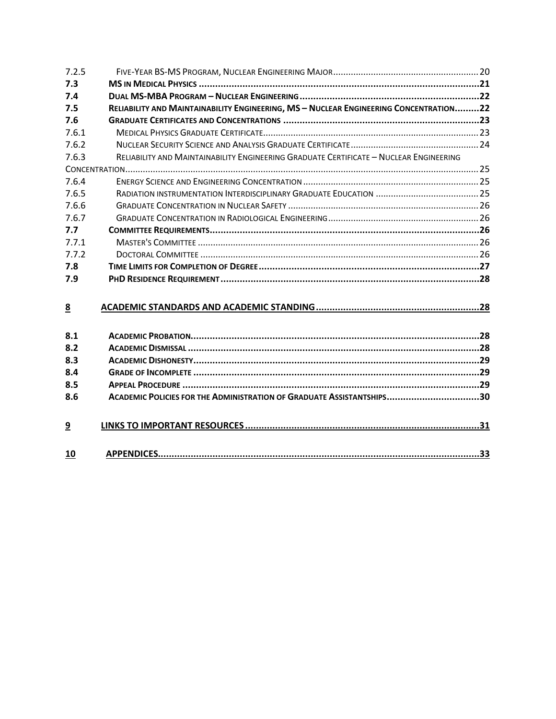| 7.2.5          |                                                                                        |  |
|----------------|----------------------------------------------------------------------------------------|--|
| 7.3            |                                                                                        |  |
| 7.4            |                                                                                        |  |
| 7.5            | RELIABILITY AND MAINTAINABILITY ENGINEERING, MS - NUCLEAR ENGINEERING CONCENTRATION22  |  |
| 7.6            |                                                                                        |  |
| 7.6.1          |                                                                                        |  |
| 7.6.2          |                                                                                        |  |
| 7.6.3          | RELIABILITY AND MAINTAINABILITY ENGINEERING GRADUATE CERTIFICATE - NUCLEAR ENGINEERING |  |
|                |                                                                                        |  |
| 7.6.4          |                                                                                        |  |
| 7.6.5          |                                                                                        |  |
| 7.6.6          |                                                                                        |  |
| 7.6.7          |                                                                                        |  |
| 7.7            |                                                                                        |  |
| 7.7.1          |                                                                                        |  |
| 7.7.2          |                                                                                        |  |
| 7.8            |                                                                                        |  |
| 7.9            |                                                                                        |  |
|                |                                                                                        |  |
| 8              |                                                                                        |  |
|                |                                                                                        |  |
| 8.1            |                                                                                        |  |
| 8.2            |                                                                                        |  |
| 8.3            |                                                                                        |  |
| 8.4            |                                                                                        |  |
| 8.5            |                                                                                        |  |
| 8.6            | ACADEMIC POLICIES FOR THE ADMINISTRATION OF GRADUATE ASSISTANTSHIPS30                  |  |
| $\overline{9}$ |                                                                                        |  |
| 10             |                                                                                        |  |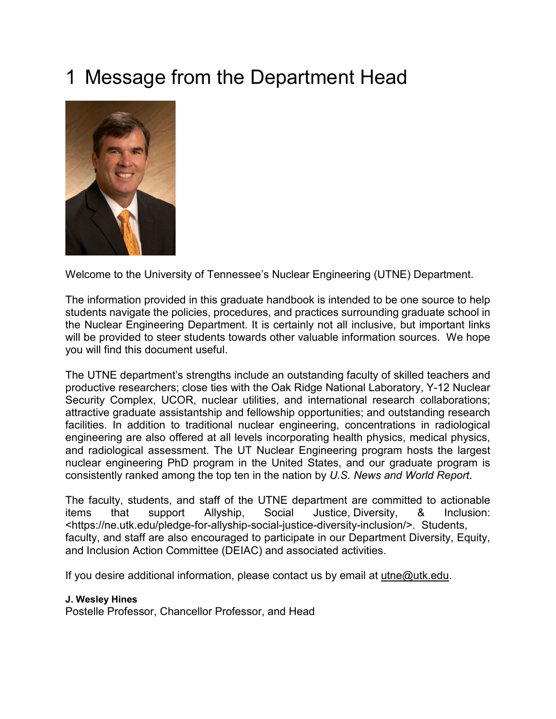# <span id="page-3-0"></span>1 Message from the Department Head



Welcome to the University of Tennessee's Nuclear Engineering (UTNE) Department.

The information provided in this graduate handbook is intended to be one source to help students navigate the policies, procedures, and practices surrounding graduate school in the Nuclear Engineering Department. It is certainly not all inclusive, but important links will be provided to steer students towards other valuable information sources. We hope you will find this document useful.

The UTNE department's strengths include an outstanding faculty of skilled teachers and productive researchers; close ties with the Oak Ridge National Laboratory, Y-12 Nuclear Security Complex, UCOR, nuclear utilities, and international research collaborations; attractive graduate assistantship and fellowship opportunities; and outstanding research facilities. In addition to traditional nuclear engineering, concentrations in radiological engineering are also offered at all levels incorporating health physics, medical physics, and radiological assessment. The UT Nuclear Engineering program hosts the largest nuclear engineering PhD program in the United States, and our graduate program is consistently ranked among the top ten in the nation by *U.S. News and World Report*.

The faculty, students, and staff of the UTNE department are committed to actionable items that support Allyship, Social Justice, Diversity, & Inclusion: <https://ne.utk.edu/pledge-for-allyship-social-justice-diversity-inclusion/>. Students, faculty, and staff are also encouraged to participate in our Department Diversity, Equity, and Inclusion Action Committee (DEIAC) and associated activities.

If you desire additional information, please contact us by email at [utne@utk.edu.](mailto:utne@utk.edu)

#### **J. Wesley Hines**

Postelle Professor, Chancellor Professor, and Head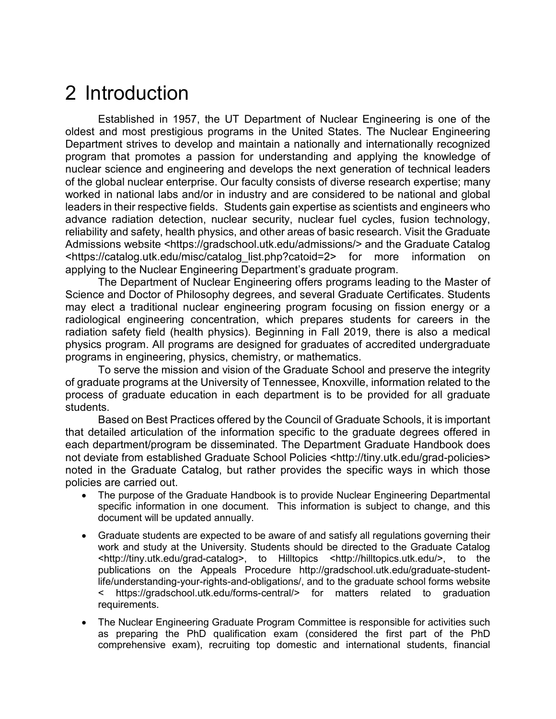## <span id="page-4-0"></span>2 Introduction

Established in 1957, the UT Department of Nuclear Engineering is one of the oldest and most prestigious programs in the United States. The Nuclear Engineering Department strives to develop and maintain a nationally and internationally recognized program that promotes a passion for understanding and applying the knowledge of nuclear science and engineering and develops the next generation of technical leaders of the global nuclear enterprise. Our faculty consists of diverse research expertise; many worked in national labs and/or in industry and are considered to be national and global leaders in their respective fields. Students gain expertise as scientists and engineers who advance radiation detection, nuclear security, nuclear fuel cycles, fusion technology, reliability and safety, health physics, and other areas of basic research. Visit the Graduate Admissions website <https://gradschool.utk.edu/admissions/> and the Graduate Catalog <https://catalog.utk.edu/misc/catalog\_list.php?catoid=2> for more information on applying to the Nuclear Engineering Department's graduate program.

The Department of Nuclear Engineering offers programs leading to the Master of Science and Doctor of Philosophy degrees, and several Graduate Certificates. Students may elect a traditional nuclear engineering program focusing on fission energy or a radiological engineering concentration, which prepares students for careers in the radiation safety field (health physics). Beginning in Fall 2019, there is also a medical physics program. All programs are designed for graduates of accredited undergraduate programs in engineering, physics, chemistry, or mathematics.

To serve the mission and vision of the Graduate School and preserve the integrity of graduate programs at the University of Tennessee, Knoxville, information related to the process of graduate education in each department is to be provided for all graduate students.

Based on Best Practices offered by the Council of Graduate Schools, it is important that detailed articulation of the information specific to the graduate degrees offered in each department/program be disseminated. The Department Graduate Handbook does not deviate from established Graduate School Policies <http://tiny.utk.edu/grad-policies> noted in the Graduate Catalog, but rather provides the specific ways in which those policies are carried out.

- The purpose of the Graduate Handbook is to provide Nuclear Engineering Departmental specific information in one document. This information is subject to change, and this document will be updated annually.
- Graduate students are expected to be aware of and satisfy all regulations governing their work and study at the University. Students should be directed to the Graduate Catalog <http://tiny.utk.edu/grad-catalog>, to Hilltopics <http://hilltopics.utk.edu/>, to the publications on the Appeals Procedure http://gradschool.utk.edu/graduate-studentlife/understanding-your-rights-and-obligations/, and to the graduate school forms website < https://gradschool.utk.edu/forms-central/> for matters related to graduation requirements.
- The Nuclear Engineering Graduate Program Committee is responsible for activities such as preparing the PhD qualification exam (considered the first part of the PhD comprehensive exam), recruiting top domestic and international students, financial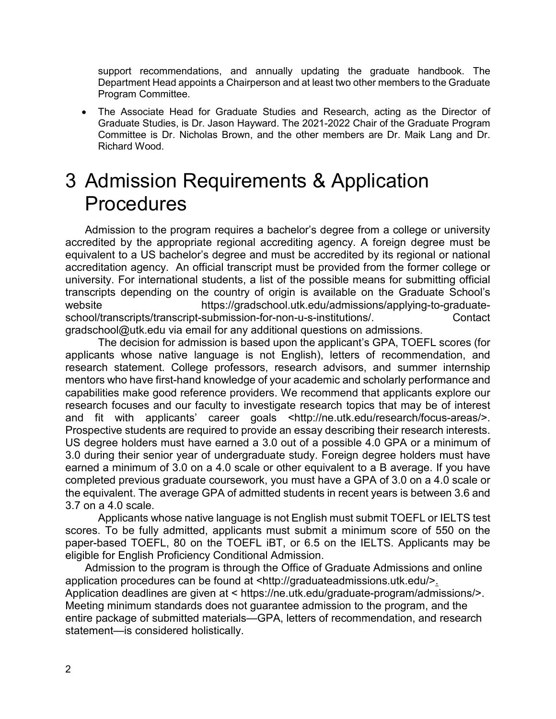support recommendations, and annually updating the graduate handbook. The Department Head appoints a Chairperson and at least two other members to the Graduate Program Committee.

• The Associate Head for Graduate Studies and Research, acting as the Director of Graduate Studies, is Dr. Jason Hayward. The 2021-2022 Chair of the Graduate Program Committee is Dr. Nicholas Brown, and the other members are Dr. Maik Lang and Dr. Richard Wood.

## <span id="page-5-0"></span>3 Admission Requirements & Application Procedures

Admission to the program requires a bachelor's degree from a college or university accredited by the appropriate regional accrediting agency. A foreign degree must be equivalent to a US bachelor's degree and must be accredited by its regional or national accreditation agency. An official transcript must be provided from the former college or university. For international students, a list of the possible means for submitting official transcripts depending on the country of origin is available on the Graduate School's website https://gradschool.utk.edu/admissions/applying-to-graduateschool/transcripts/transcript-submission-for-non-u-s-institutions/. Contact gradschool@utk.edu via email for any additional questions on admissions.

The decision for admission is based upon the applicant's GPA, TOEFL scores (for applicants whose native language is not English), letters of recommendation, and research statement. College professors, research advisors, and summer internship mentors who have first-hand knowledge of your academic and scholarly performance and capabilities make good reference providers. We recommend that applicants explore our research focuses and our faculty to investigate research topics that may be of interest and fit with applicants' career goals <http://ne.utk.edu/research/focus-areas/>. Prospective students are required to provide an essay describing their research interests. US degree holders must have earned a 3.0 out of a possible 4.0 GPA or a minimum of 3.0 during their senior year of undergraduate study. Foreign degree holders must have earned a minimum of 3.0 on a 4.0 scale or other equivalent to a B average. If you have completed previous graduate coursework, you must have a GPA of 3.0 on a 4.0 scale or the equivalent. The average GPA of admitted students in recent years is between 3.6 and 3.7 on a 4.0 scale.

Applicants whose native language is not English must submit TOEFL or IELTS test scores. To be fully admitted, applicants must submit a minimum score of 550 on the paper-based TOEFL, 80 on the TOEFL iBT, or 6.5 on the IELTS. Applicants may be eligible for English Proficiency Conditional Admission.

Admission to the program is through the Office of Graduate Admissions and online application procedures can be found at <http://graduateadmissions.utk.edu/>. Application deadlines are given at < https://ne.utk.edu/graduate-program/admissions/>. Meeting minimum standards does not guarantee admission to the program, and the entire package of submitted materials—GPA, letters of recommendation, and research statement—is considered holistically.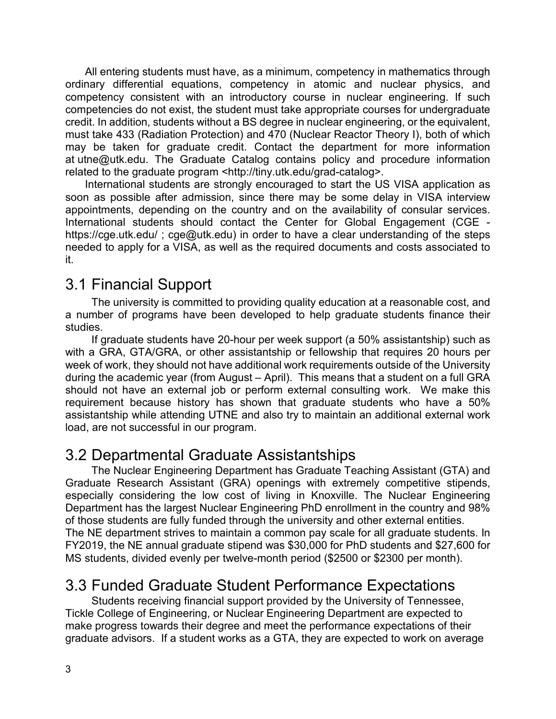All entering students must have, as a minimum, competency in mathematics through ordinary differential equations, competency in atomic and nuclear physics, and competency consistent with an introductory course in nuclear engineering. If such competencies do not exist, the student must take appropriate courses for undergraduate credit. In addition, students without a BS degree in nuclear engineering, or the equivalent, must take 433 (Radiation Protection) and 470 (Nuclear Reactor Theory I), both of which may be taken for graduate credit. Contact the department for more information at [utne@utk.edu.](mailto:utne@utk.edu) The Graduate Catalog contains policy and procedure information related to the graduate program <http://tiny.utk.edu/grad-catalog>.

International students are strongly encouraged to start the US VISA application as soon as possible after admission, since there may be some delay in VISA interview appointments, depending on the country and on the availability of consular services. International students should contact the Center for Global Engagement (CGE https://cge.utk.edu/; cge@utk.edu) in order to have a clear understanding of the steps needed to apply for a VISA, as well as the required documents and costs associated to it.

## <span id="page-6-0"></span>3.1 Financial Support

The university is committed to providing quality education at a reasonable cost, and a number of programs have been developed to help graduate students finance their studies.

If graduate students have 20-hour per week support (a 50% assistantship) such as with a GRA, GTA/GRA, or other assistantship or fellowship that requires 20 hours per week of work, they should not have additional work requirements outside of the University during the academic year (from August – April). This means that a student on a full GRA should not have an external job or perform external consulting work. We make this requirement because history has shown that graduate students who have a 50% assistantship while attending UTNE and also try to maintain an additional external work load, are not successful in our program.

## <span id="page-6-1"></span>3.2 Departmental Graduate Assistantships

The Nuclear Engineering Department has Graduate Teaching Assistant (GTA) and Graduate Research Assistant (GRA) openings with extremely competitive stipends, especially considering the low cost of living in Knoxville. The Nuclear Engineering Department has the largest Nuclear Engineering PhD enrollment in the country and 98% of those students are fully funded through the university and other external entities. The NE department strives to maintain a common pay scale for all graduate students. In FY2019, the NE annual graduate stipend was \$30,000 for PhD students and \$27,600 for MS students, divided evenly per twelve-month period (\$2500 or \$2300 per month).

## <span id="page-6-2"></span>3.3 Funded Graduate Student Performance Expectations

Students receiving financial support provided by the University of Tennessee, Tickle College of Engineering, or Nuclear Engineering Department are expected to make progress towards their degree and meet the performance expectations of their graduate advisors. If a student works as a GTA, they are expected to work on average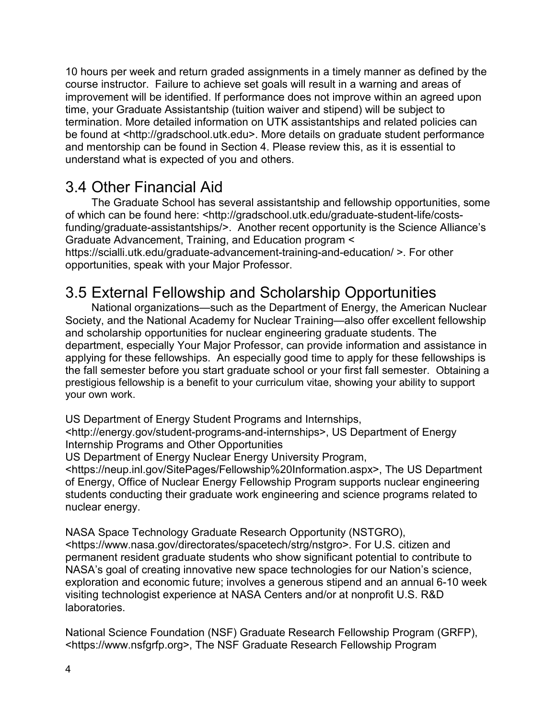10 hours per week and return graded assignments in a timely manner as defined by the course instructor. Failure to achieve set goals will result in a warning and areas of improvement will be identified. If performance does not improve within an agreed upon time, your Graduate Assistantship (tuition waiver and stipend) will be subject to termination. More detailed information on UTK assistantships and related policies can be found at <http://gradschool.utk.edu>. More details on graduate student performance and mentorship can be found in Section [4.](#page-9-1) Please review this, as it is essential to understand what is expected of you and others.

## <span id="page-7-0"></span>3.4 Other Financial Aid

The Graduate School has several assistantship and fellowship opportunities, some of which can be found here: <http://gradschool.utk.edu/graduate-student-life/costsfunding/graduate-assistantships/>. Another recent opportunity is the Science Alliance's Graduate Advancement, Training, and Education program < https://scialli.utk.edu/graduate-advancement-training-and-education/ >. For other opportunities, speak with your Major Professor.

## <span id="page-7-1"></span>3.5 External Fellowship and Scholarship Opportunities

National organizations—such as the Department of Energy, the American Nuclear Society, and the National Academy for Nuclear Training—also offer excellent fellowship and scholarship opportunities for nuclear engineering graduate students. The department, especially Your Major Professor, can provide information and assistance in applying for these fellowships. An especially good time to apply for these fellowships is the fall semester before you start graduate school or your first fall semester. Obtaining a prestigious fellowship is a benefit to your curriculum vitae, showing your ability to support your own work.

US Department of Energy Student Programs and Internships,

<http://energy.gov/student-programs-and-internships>, US Department of Energy Internship Programs and Other Opportunities

US Department of Energy Nuclear Energy University Program,

<https://neup.inl.gov/SitePages/Fellowship%20Information.aspx>, The US Department of Energy, Office of Nuclear Energy Fellowship Program supports nuclear engineering students conducting their graduate work engineering and science programs related to nuclear energy.

NASA Space Technology Graduate Research Opportunity (NSTGRO),

<https://www.nasa.gov/directorates/spacetech/strg/nstgro>. For U.S. citizen and permanent resident graduate students who show significant potential to contribute to NASA's goal of creating innovative new space technologies for our Nation's science, exploration and economic future; involves a generous stipend and an annual 6-10 week visiting technologist experience at NASA Centers and/or at nonprofit U.S. R&D laboratories.

National Science Foundation (NSF) Graduate Research Fellowship Program (GRFP), <https://www.nsfgrfp.org>, The NSF Graduate Research Fellowship Program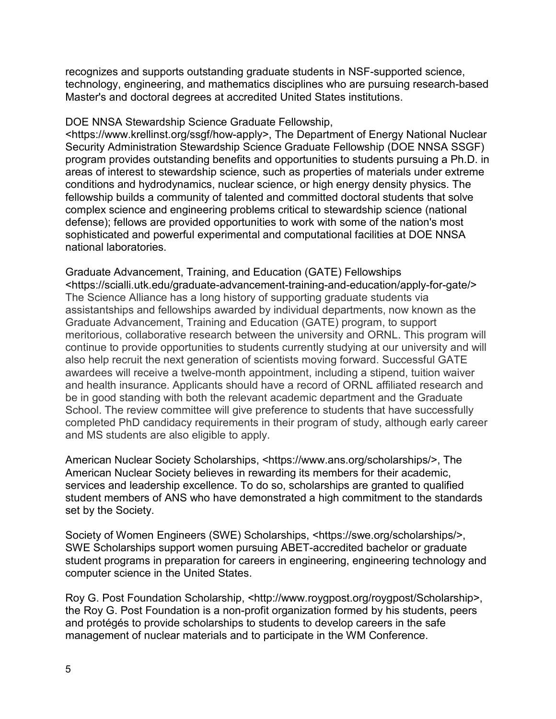recognizes and supports outstanding graduate students in NSF-supported science, technology, engineering, and mathematics disciplines who are pursuing research-based Master's and doctoral degrees at accredited United States institutions.

#### [DOE NNSA Stewardship Science Graduate](https://www.krellinst.org/ssgf/how-apply) Fellowship,

<https://www.krellinst.org/ssgf/how-apply>, The Department of Energy National Nuclear Security Administration Stewardship Science Graduate Fellowship (DOE NNSA SSGF) program provides outstanding benefits and opportunities to students pursuing a Ph.D. in areas of interest to stewardship science, such as properties of materials under extreme conditions and hydrodynamics, nuclear science, or high energy density physics. The fellowship builds a community of talented and committed doctoral students that solve complex science and engineering problems critical to stewardship science (national defense); fellows are provided opportunities to work with some of the nation's most sophisticated and powerful experimental and computational facilities at DOE NNSA national laboratories.

#### Graduate Advancement, Training, and Education (GATE) Fellowships

<https://scialli.utk.edu/graduate-advancement-training-and-education/apply-for-gate/> The Science Alliance has a long history of supporting graduate students via assistantships and fellowships awarded by individual departments, now known as the Graduate Advancement, Training and Education (GATE) program, to support meritorious, collaborative research between the university and ORNL. This program will continue to provide opportunities to students currently studying at our university and will also help recruit the next generation of scientists moving forward. Successful GATE awardees will receive a twelve-month appointment, including a stipend, tuition waiver and health insurance. Applicants should have a record of ORNL affiliated research and be in good standing with both the relevant academic department and the Graduate School. The review committee will give preference to students that have successfully completed PhD candidacy requirements in their program of study, although early career and MS students are also eligible to apply.

American Nuclear Society Scholarships, <https://www.ans.org/scholarships/>, The American Nuclear Society believes in rewarding its members for their academic, services and leadership excellence. To do so, scholarships are granted to qualified student members of ANS who have demonstrated a high commitment to the standards set by the Society.

Society of Women Engineers (SWE) Scholarships, <https://swe.org/scholarships/>, SWE Scholarships support women pursuing ABET-accredited bachelor or graduate student programs in preparation for careers in engineering, engineering technology and computer science in the United States.

Roy G. Post Foundation Scholarship, <http://www.roygpost.org/roygpost/Scholarship>, the Roy G. Post Foundation is a non-profit organization formed by his students, peers and protégés to provide scholarships to students to develop careers in the safe management of nuclear materials and to participate in the WM Conference.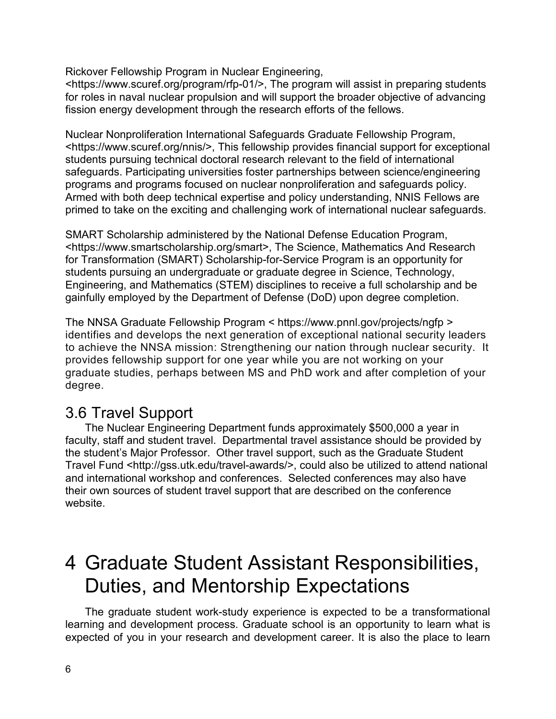Rickover Fellowship Program in Nuclear Engineering,

[<https://www.scuref.org/program/rfp-01/>](https://www.scuref.org/program/rfp-01/), The program will assist in preparing students for roles in naval nuclear propulsion and will support the broader objective of advancing fission energy development through the research efforts of the fellows.

Nuclear Nonproliferation International Safeguards Graduate Fellowship Program, [<https://www.scuref.org/nnis/>](https://www.scuref.org/nnis/), This fellowship provides financial support for exceptional students pursuing technical doctoral research relevant to the field of international safeguards. Participating universities foster partnerships between science/engineering programs and programs focused on nuclear nonproliferation and safeguards policy. Armed with both deep technical expertise and policy understanding, NNIS Fellows are primed to take on the exciting and challenging work of international nuclear safeguards.

SMART Scholarship administered by the National Defense Education Program, <https://www.smartscholarship.org/smart>, The Science, Mathematics And Research for Transformation (SMART) Scholarship-for-Service Program is an opportunity for students pursuing an undergraduate or graduate degree in Science, Technology, Engineering, and Mathematics (STEM) disciplines to receive a full scholarship and be gainfully employed by the Department of Defense (DoD) upon degree completion.

The NNSA Graduate Fellowship Program < https://www.pnnl.gov/projects/ngfp > identifies and develops the next generation of exceptional national security leaders to achieve the NNSA mission: Strengthening our nation through nuclear security. It provides fellowship support for one year while you are not working on your graduate studies, perhaps between MS and PhD work and after completion of your degree.

## <span id="page-9-0"></span>3.6 Travel Support

The Nuclear Engineering Department funds approximately \$500,000 a year in faculty, staff and student travel. Departmental travel assistance should be provided by the student's Major Professor. Other travel support, such as the Graduate Student Travel Fund <http://gss.utk.edu/travel-awards/>, could also be utilized to attend national and international workshop and conferences. Selected conferences may also have their own sources of student travel support that are described on the conference website.

## <span id="page-9-1"></span>4 Graduate Student Assistant Responsibilities, Duties, and Mentorship Expectations

The graduate student work-study experience is expected to be a transformational learning and development process. Graduate school is an opportunity to learn what is expected of you in your research and development career. It is also the place to learn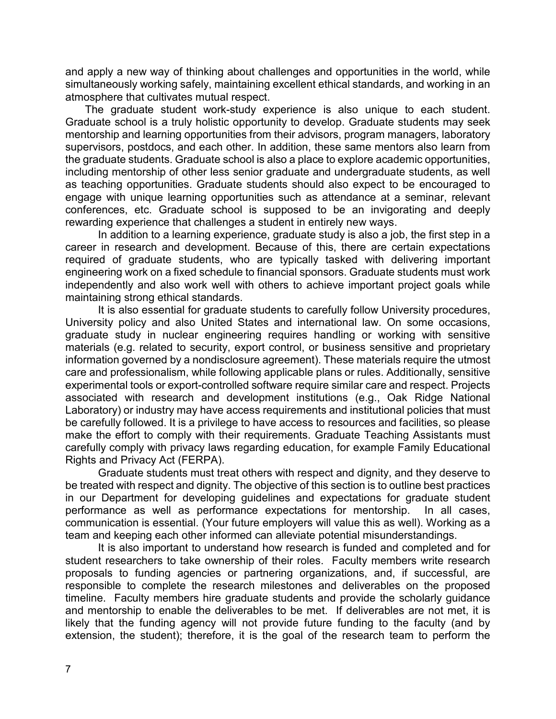and apply a new way of thinking about challenges and opportunities in the world, while simultaneously working safely, maintaining excellent ethical standards, and working in an atmosphere that cultivates mutual respect.

The graduate student work-study experience is also unique to each student. Graduate school is a truly holistic opportunity to develop. Graduate students may seek mentorship and learning opportunities from their advisors, program managers, laboratory supervisors, postdocs, and each other. In addition, these same mentors also learn from the graduate students. Graduate school is also a place to explore academic opportunities, including mentorship of other less senior graduate and undergraduate students, as well as teaching opportunities. Graduate students should also expect to be encouraged to engage with unique learning opportunities such as attendance at a seminar, relevant conferences, etc. Graduate school is supposed to be an invigorating and deeply rewarding experience that challenges a student in entirely new ways.

In addition to a learning experience, graduate study is also a job, the first step in a career in research and development. Because of this, there are certain expectations required of graduate students, who are typically tasked with delivering important engineering work on a fixed schedule to financial sponsors. Graduate students must work independently and also work well with others to achieve important project goals while maintaining strong ethical standards.

It is also essential for graduate students to carefully follow University procedures, University policy and also United States and international law. On some occasions, graduate study in nuclear engineering requires handling or working with sensitive materials (e.g. related to security, export control, or business sensitive and proprietary information governed by a nondisclosure agreement). These materials require the utmost care and professionalism, while following applicable plans or rules. Additionally, sensitive experimental tools or export-controlled software require similar care and respect. Projects associated with research and development institutions (e.g., Oak Ridge National Laboratory) or industry may have access requirements and institutional policies that must be carefully followed. It is a privilege to have access to resources and facilities, so please make the effort to comply with their requirements. Graduate Teaching Assistants must carefully comply with privacy laws regarding education, for example Family Educational Rights and Privacy Act (FERPA).

Graduate students must treat others with respect and dignity, and they deserve to be treated with respect and dignity. The objective of this section is to outline best practices in our Department for developing guidelines and expectations for graduate student performance as well as performance expectations for mentorship. In all cases, communication is essential. (Your future employers will value this as well). Working as a team and keeping each other informed can alleviate potential misunderstandings.

It is also important to understand how research is funded and completed and for student researchers to take ownership of their roles. Faculty members write research proposals to funding agencies or partnering organizations, and, if successful, are responsible to complete the research milestones and deliverables on the proposed timeline. Faculty members hire graduate students and provide the scholarly guidance and mentorship to enable the deliverables to be met. If deliverables are not met, it is likely that the funding agency will not provide future funding to the faculty (and by extension, the student); therefore, it is the goal of the research team to perform the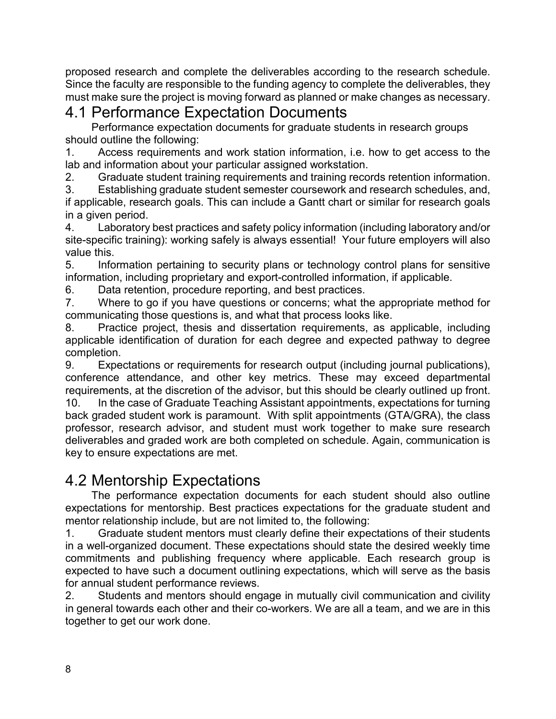proposed research and complete the deliverables according to the research schedule. Since the faculty are responsible to the funding agency to complete the deliverables, they must make sure the project is moving forward as planned or make changes as necessary.

## <span id="page-11-0"></span>4.1 Performance Expectation Documents

Performance expectation documents for graduate students in research groups should outline the following:

1. Access requirements and work station information, i.e. how to get access to the lab and information about your particular assigned workstation.

2. Graduate student training requirements and training records retention information.

3. Establishing graduate student semester coursework and research schedules, and, if applicable, research goals. This can include a Gantt chart or similar for research goals in a given period.

4. Laboratory best practices and safety policy information (including laboratory and/or site-specific training): working safely is always essential! Your future employers will also value this.

5. Information pertaining to security plans or technology control plans for sensitive information, including proprietary and export-controlled information, if applicable.

6. Data retention, procedure reporting, and best practices.

7. Where to go if you have questions or concerns; what the appropriate method for communicating those questions is, and what that process looks like.

8. Practice project, thesis and dissertation requirements, as applicable, including applicable identification of duration for each degree and expected pathway to degree completion.

9. Expectations or requirements for research output (including journal publications), conference attendance, and other key metrics. These may exceed departmental requirements, at the discretion of the advisor, but this should be clearly outlined up front. 10. In the case of Graduate Teaching Assistant appointments, expectations for turning back graded student work is paramount. With split appointments (GTA/GRA), the class professor, research advisor, and student must work together to make sure research deliverables and graded work are both completed on schedule. Again, communication is key to ensure expectations are met.

### <span id="page-11-1"></span>4.2 Mentorship Expectations

The performance expectation documents for each student should also outline expectations for mentorship. Best practices expectations for the graduate student and mentor relationship include, but are not limited to, the following:

1. Graduate student mentors must clearly define their expectations of their students in a well-organized document. These expectations should state the desired weekly time commitments and publishing frequency where applicable. Each research group is expected to have such a document outlining expectations, which will serve as the basis for annual student performance reviews.

2. Students and mentors should engage in mutually civil communication and civility in general towards each other and their co-workers. We are all a team, and we are in this together to get our work done.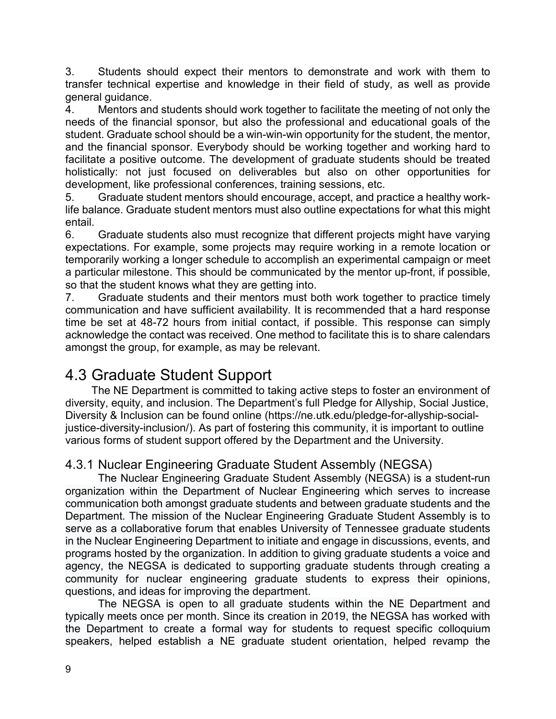3. Students should expect their mentors to demonstrate and work with them to transfer technical expertise and knowledge in their field of study, as well as provide general guidance.

4. Mentors and students should work together to facilitate the meeting of not only the needs of the financial sponsor, but also the professional and educational goals of the student. Graduate school should be a win-win-win opportunity for the student, the mentor, and the financial sponsor. Everybody should be working together and working hard to facilitate a positive outcome. The development of graduate students should be treated holistically: not just focused on deliverables but also on other opportunities for development, like professional conferences, training sessions, etc.

5. Graduate student mentors should encourage, accept, and practice a healthy worklife balance. Graduate student mentors must also outline expectations for what this might entail.

6. Graduate students also must recognize that different projects might have varying expectations. For example, some projects may require working in a remote location or temporarily working a longer schedule to accomplish an experimental campaign or meet a particular milestone. This should be communicated by the mentor up-front, if possible, so that the student knows what they are getting into.

7. Graduate students and their mentors must both work together to practice timely communication and have sufficient availability. It is recommended that a hard response time be set at 48-72 hours from initial contact, if possible. This response can simply acknowledge the contact was received. One method to facilitate this is to share calendars amongst the group, for example, as may be relevant.

## <span id="page-12-0"></span>4.3 Graduate Student Support

The NE Department is committed to taking active steps to foster an environment of diversity, equity, and inclusion. The Department's full Pledge for Allyship, Social Justice, Diversity & Inclusion can be found online (https://ne.utk.edu/pledge-for-allyship-socialjustice-diversity-inclusion/). As part of fostering this community, it is important to outline various forms of student support offered by the Department and the University.

#### <span id="page-12-1"></span>4.3.1 Nuclear Engineering Graduate Student Assembly (NEGSA)

The Nuclear Engineering Graduate Student Assembly (NEGSA) is a student-run organization within the Department of Nuclear Engineering which serves to increase communication both amongst graduate students and between graduate students and the Department. The mission of the Nuclear Engineering Graduate Student Assembly is to serve as a collaborative forum that enables University of Tennessee graduate students in the Nuclear Engineering Department to initiate and engage in discussions, events, and programs hosted by the organization. In addition to giving graduate students a voice and agency, the NEGSA is dedicated to supporting graduate students through creating a community for nuclear engineering graduate students to express their opinions, questions, and ideas for improving the department.

The NEGSA is open to all graduate students within the NE Department and typically meets once per month. Since its creation in 2019, the NEGSA has worked with the Department to create a formal way for students to request specific colloquium speakers, helped establish a NE graduate student orientation, helped revamp the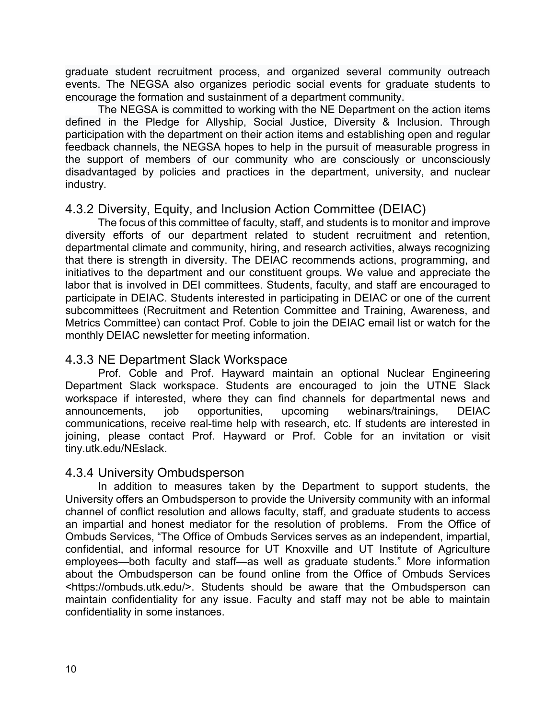graduate student recruitment process, and organized several community outreach events. The NEGSA also organizes periodic social events for graduate students to encourage the formation and sustainment of a department community.

The NEGSA is committed to working with the NE Department on the action items defined in the Pledge for Allyship, Social Justice, Diversity & Inclusion. Through participation with the department on their action items and establishing open and regular feedback channels, the NEGSA hopes to help in the pursuit of measurable progress in the support of members of our community who are consciously or unconsciously disadvantaged by policies and practices in the department, university, and nuclear industry.

#### 4.3.2 Diversity, Equity, and Inclusion Action Committee (DEIAC)

The focus of this committee of faculty, staff, and students is to monitor and improve diversity efforts of our department related to student recruitment and retention, departmental climate and community, hiring, and research activities, always recognizing that there is strength in diversity. The DEIAC recommends actions, programming, and initiatives to the department and our constituent groups. We value and appreciate the labor that is involved in DEI committees. Students, faculty, and staff are encouraged to participate in DEIAC. Students interested in participating in DEIAC or one of the current subcommittees (Recruitment and Retention Committee and Training, Awareness, and Metrics Committee) can contact Prof. Coble to join the DEIAC email list or watch for the monthly DEIAC newsletter for meeting information.

#### 4.3.3 NE Department Slack Workspace

Prof. Coble and Prof. Hayward maintain an optional Nuclear Engineering Department Slack workspace. Students are encouraged to join the UTNE Slack workspace if interested, where they can find channels for departmental news and announcements, job opportunities, upcoming webinars/trainings, DEIAC communications, receive real-time help with research, etc. If students are interested in joining, please contact Prof. Hayward or Prof. Coble for an invitation or visit tiny.utk.edu/NEslack.

#### <span id="page-13-0"></span>4.3.4 University Ombudsperson

In addition to measures taken by the Department to support students, the University offers an Ombudsperson to provide the University community with an informal channel of conflict resolution and allows faculty, staff, and graduate students to access an impartial and honest mediator for the resolution of problems. From the Office of Ombuds Services, "The Office of Ombuds Services serves as an independent, impartial, confidential, and informal resource for UT Knoxville and UT Institute of Agriculture employees—both faculty and staff—as well as graduate students." More information about the Ombudsperson can be found online from the Office of Ombuds Services <https://ombuds.utk.edu/>. Students should be aware that the Ombudsperson can maintain confidentiality for any issue. Faculty and staff may not be able to maintain confidentiality in some instances.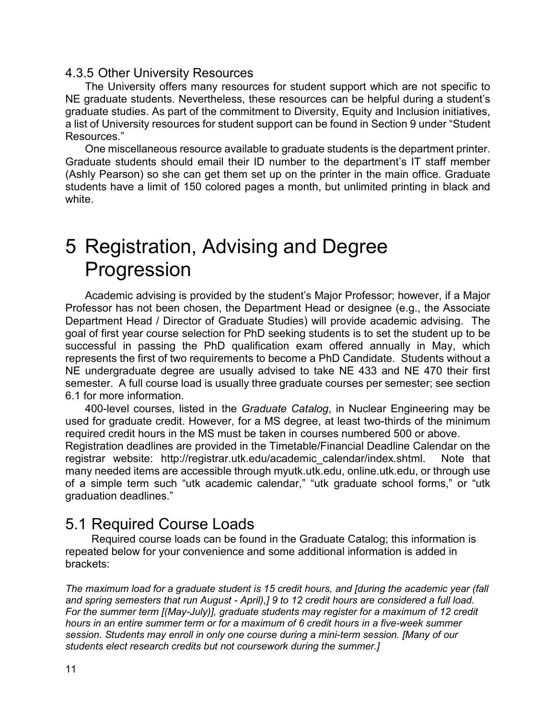#### <span id="page-14-0"></span>4.3.5 Other University Resources

The University offers many resources for student support which are not specific to NE graduate students. Nevertheless, these resources can be helpful during a student's graduate studies. As part of the commitment to Diversity, Equity and Inclusion initiatives, a list of University resources for student support can be found in Section 9 under "Student Resources."

One miscellaneous resource available to graduate students is the department printer. Graduate students should email their ID number to the department's IT staff member (Ashly Pearson) so she can get them set up on the printer in the main office. Graduate students have a limit of 150 colored pages a month, but unlimited printing in black and white.

## <span id="page-14-1"></span>5 Registration, Advising and Degree Progression

Academic advising is provided by the student's Major Professor; however, if a Major Professor has not been chosen, the Department Head or designee (e.g., the Associate Department Head / Director of Graduate Studies) will provide academic advising. The goal of first year course selection for PhD seeking students is to set the student up to be successful in passing the PhD qualification exam offered annually in May, which represents the first of two requirements to become a PhD Candidate. Students without a NE undergraduate degree are usually advised to take NE 433 and NE 470 their first semester. A full course load is usually three graduate courses per semester; see section 6.1 for more information.

400-level courses, listed in the *Graduate Catalog*, in Nuclear Engineering may be used for graduate credit. However, for a MS degree, at least two-thirds of the minimum required credit hours in the MS must be taken in courses numbered 500 or above.

Registration deadlines are provided in the Timetable/Financial Deadline Calendar on the registrar website: http://registrar.utk.edu/academic\_calendar/index.shtml. Note that many needed items are accessible through myutk.utk.edu, online.utk.edu, or through use of a simple term such "utk academic calendar," "utk graduate school forms," or "utk graduation deadlines."

#### <span id="page-14-2"></span>5.1 Required Course Loads

Required course loads can be found in the Graduate Catalog; this information is repeated below for your convenience and some additional information is added in brackets:

*The maximum load for a graduate student is 15 credit hours, and [during the academic year (fall and spring semesters that run August - April),] 9 to 12 credit hours are considered a full load. For the summer term [(May-July)], graduate students may register for a maximum of 12 credit hours in an entire summer term or for a maximum of 6 credit hours in a five-week summer session. Students may enroll in only one course during a mini-term session. [Many of our students elect research credits but not coursework during the summer.]*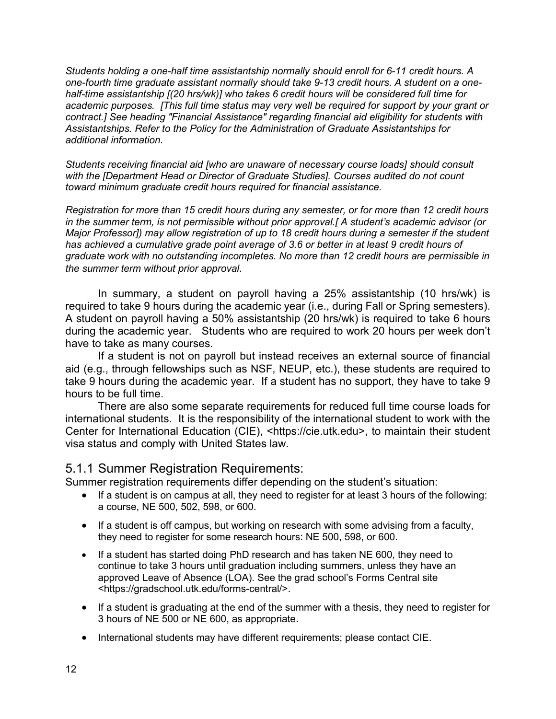*Students holding a one-half time assistantship normally should enroll for 6-11 credit hours. A one-fourth time graduate assistant normally should take 9-13 credit hours. A student on a onehalf-time assistantship [(20 hrs/wk)] who takes 6 credit hours will be considered full time for academic purposes. [This full time status may very well be required for support by your grant or contract.] See heading "Financial Assistance" regarding financial aid eligibility for students with Assistantships. Refer to the Policy for the Administration of Graduate Assistantships for additional information.*

*Students receiving financial aid [who are unaware of necessary course loads] should consult with the [Department Head or Director of Graduate Studies]. Courses audited do not count toward minimum graduate credit hours required for financial assistance.*

*Registration for more than 15 credit hours during any semester, or for more than 12 credit hours in the summer term, is not permissible without prior approval.[ A student's academic advisor (or Major Professor]) may allow registration of up to 18 credit hours during a semester if the student has achieved a cumulative grade point average of 3.6 or better in at least 9 credit hours of graduate work with no outstanding incompletes. No more than 12 credit hours are permissible in the summer term without prior approval.*

In summary, a student on payroll having a 25% assistantship (10 hrs/wk) is required to take 9 hours during the academic year (i.e., during Fall or Spring semesters). A student on payroll having a 50% assistantship (20 hrs/wk) is required to take 6 hours during the academic year. Students who are required to work 20 hours per week don't have to take as many courses.

If a student is not on payroll but instead receives an external source of financial aid (e.g., through fellowships such as NSF, NEUP, etc.), these students are required to take 9 hours during the academic year. If a student has no support, they have to take 9 hours to be full time.

There are also some separate requirements for reduced full time course loads for international students. It is the responsibility of the international student to work with the Center for International Education (CIE), <https://cie.utk.edu>, to maintain their student visa status and comply with United States law.

#### <span id="page-15-0"></span>5.1.1 Summer Registration Requirements:

Summer registration requirements differ depending on the student's situation:

- If a student is on campus at all, they need to register for at least 3 hours of the following: a course, NE 500, 502, 598, or 600.
- If a student is off campus, but working on research with some advising from a faculty, they need to register for some research hours: NE 500, 598, or 600.
- If a student has started doing PhD research and has taken NE 600, they need to continue to take 3 hours until graduation including summers, unless they have an approved Leave of Absence (LOA). See the grad school's Forms Central site <https://gradschool.utk.edu/forms-central/>.
- If a student is graduating at the end of the summer with a thesis, they need to register for 3 hours of NE 500 or NE 600, as appropriate.
- International students may have different requirements; please contact CIE.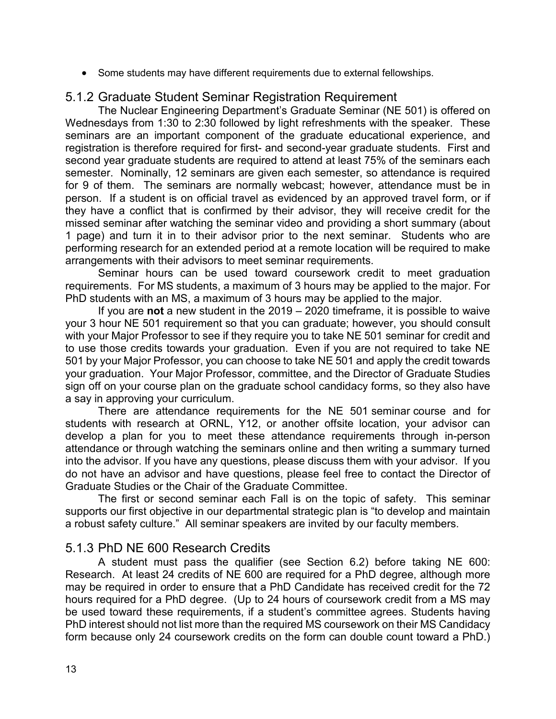• Some students may have different requirements due to external fellowships.

#### <span id="page-16-0"></span>5.1.2 Graduate Student Seminar Registration Requirement

The Nuclear Engineering Department's Graduate Seminar (NE 501) is offered on Wednesdays from 1:30 to 2:30 followed by light refreshments with the speaker. These seminars are an important component of the graduate educational experience, and registration is therefore required for first- and second-year graduate students. First and second year graduate students are required to attend at least 75% of the seminars each semester. Nominally, 12 seminars are given each semester, so attendance is required for 9 of them. The seminars are normally webcast; however, attendance must be in person. If a student is on official travel as evidenced by an approved travel form, or if they have a conflict that is confirmed by their advisor, they will receive credit for the missed seminar after watching the seminar video and providing a short summary (about 1 page) and turn it in to their advisor prior to the next seminar. Students who are performing research for an extended period at a remote location will be required to make arrangements with their advisors to meet seminar requirements.

Seminar hours can be used toward coursework credit to meet graduation requirements. For MS students, a maximum of 3 hours may be applied to the major. For PhD students with an MS, a maximum of 3 hours may be applied to the major.

If you are **not** a new student in the 2019 – 2020 timeframe, it is possible to waive your 3 hour NE 501 requirement so that you can graduate; however, you should consult with your Major Professor to see if they require you to take NE 501 seminar for credit and to use those credits towards your graduation. Even if you are not required to take NE 501 by your Major Professor, you can choose to take NE 501 and apply the credit towards your graduation. Your Major Professor, committee, and the Director of Graduate Studies sign off on your course plan on the graduate school candidacy forms, so they also have a say in approving your curriculum.

There are attendance requirements for the NE 501 seminar course and for students with research at ORNL, Y12, or another offsite location, your advisor can develop a plan for you to meet these attendance requirements through in-person attendance or through watching the seminars online and then writing a summary turned into the advisor. If you have any questions, please discuss them with your advisor. If you do not have an advisor and have questions, please feel free to contact the Director of Graduate Studies or the Chair of the Graduate Committee.

The first or second seminar each Fall is on the topic of safety. This seminar supports our first objective in our departmental strategic plan is "to develop and maintain a robust safety culture." All seminar speakers are invited by our faculty members.

#### <span id="page-16-1"></span>5.1.3 PhD NE 600 Research Credits

A student must pass the qualifier (see Section 6.2) before taking NE 600: Research. At least 24 credits of NE 600 are required for a PhD degree, although more may be required in order to ensure that a PhD Candidate has received credit for the 72 hours required for a PhD degree. (Up to 24 hours of coursework credit from a MS may be used toward these requirements, if a student's committee agrees. Students having PhD interest should not list more than the required MS coursework on their MS Candidacy form because only 24 coursework credits on the form can double count toward a PhD.)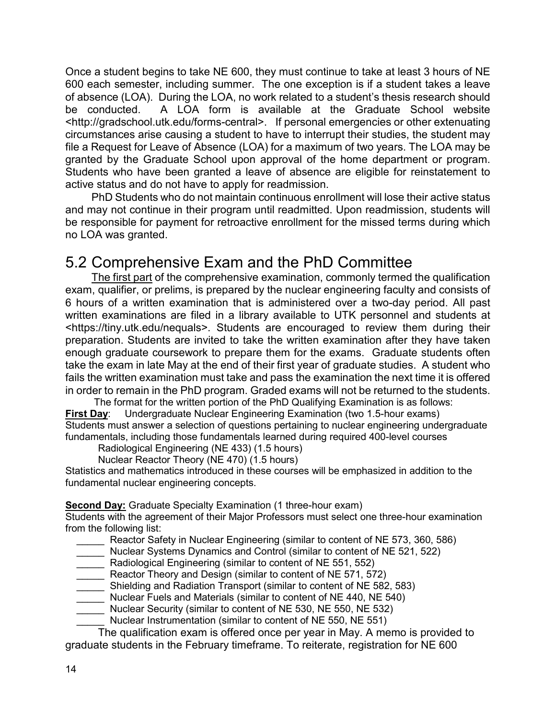Once a student begins to take NE 600, they must continue to take at least 3 hours of NE 600 each semester, including summer. The one exception is if a student takes a leave of absence (LOA). During the LOA, no work related to a student's thesis research should be conducted. A LOA form is available at the Graduate School website <http://gradschool.utk.edu/forms-central>. If personal emergencies or other extenuating circumstances arise causing a student to have to interrupt their studies, the student may file a Request for Leave of Absence (LOA) for a maximum of two years. The LOA may be granted by the Graduate School upon approval of the home department or program. Students who have been granted a leave of absence are eligible for reinstatement to active status and do not have to apply for readmission.

PhD Students who do not maintain continuous enrollment will lose their active status and may not continue in their program until readmitted. Upon readmission, students will be responsible for payment for retroactive enrollment for the missed terms during which no LOA was granted.

## <span id="page-17-0"></span>5.2 Comprehensive Exam and the PhD Committee

The first part of the comprehensive examination, commonly termed the qualification exam, qualifier, or prelims, is prepared by the nuclear engineering faculty and consists of 6 hours of a written examination that is administered over a two-day period. All past written examinations are filed in a library available to UTK personnel and students at <https://tiny.utk.edu/nequals>. Students are encouraged to review them during their preparation. Students are invited to take the written examination after they have taken enough graduate coursework to prepare them for the exams. Graduate students often take the exam in late May at the end of their first year of graduate studies. A student who fails the written examination must take and pass the examination the next time it is offered in order to remain in the PhD program. Graded exams will not be returned to the students.

The format for the written portion of the PhD Qualifying Examination is as follows: **First Day**: Undergraduate Nuclear Engineering Examination (two 1.5-hour exams) Students must answer a selection of questions pertaining to nuclear engineering undergraduate fundamentals, including those fundamentals learned during required 400-level courses

Radiological Engineering (NE 433) (1.5 hours)

Nuclear Reactor Theory (NE 470) (1.5 hours)

Statistics and mathematics introduced in these courses will be emphasized in addition to the fundamental nuclear engineering concepts.

**Second Day:** Graduate Specialty Examination (1 three-hour exam)

Students with the agreement of their Major Professors must select one three-hour examination from the following list:

- Reactor Safety in Nuclear Engineering (similar to content of NE 573, 360, 586)
- Nuclear Systems Dynamics and Control (similar to content of NE 521, 522)
- Radiological Engineering (similar to content of NE 551, 552)
- Reactor Theory and Design (similar to content of NE 571, 572)
- \_\_\_\_\_ Shielding and Radiation Transport (similar to content of NE 582, 583)
- \_\_\_\_\_ Nuclear Fuels and Materials (similar to content of NE 440, NE 540)
- \_\_\_\_\_ Nuclear Security (similar to content of NE 530, NE 550, NE 532)
- Nuclear Instrumentation (similar to content of NE 550, NE 551)

The qualification exam is offered once per year in May. A memo is provided to graduate students in the February timeframe. To reiterate, registration for [NE 600](http://catalog.utk.edu/preview_program.php?catoid=23&poid=9885&returnto=2835#tt4180)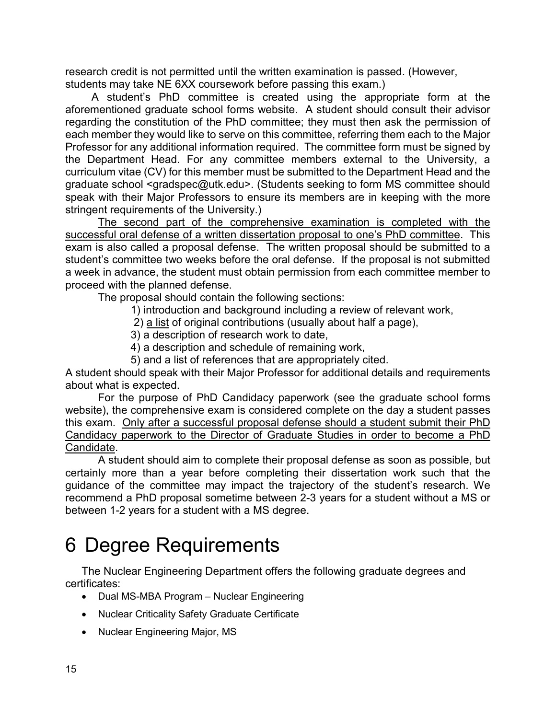research credit is not permitted until the written examination is passed. (However, students may take NE 6XX coursework before passing this exam.)

A student's PhD committee is created using the appropriate form at the aforementioned graduate school forms website. A student should consult their advisor regarding the constitution of the PhD committee; they must then ask the permission of each member they would like to serve on this committee, referring them each to the Major Professor for any additional information required. The committee form must be signed by the Department Head. For any committee members external to the University, a curriculum vitae (CV) for this member must be submitted to the Department Head and the graduate school <gradspec@utk.edu>. (Students seeking to form MS committee should speak with their Major Professors to ensure its members are in keeping with the more stringent requirements of the University.)

The second part of the comprehensive examination is completed with the successful oral defense of a written dissertation proposal to one's PhD committee. This exam is also called a proposal defense. The written proposal should be submitted to a student's committee two weeks before the oral defense. If the proposal is not submitted a week in advance, the student must obtain permission from each committee member to proceed with the planned defense.

The proposal should contain the following sections:

- 1) introduction and background including a review of relevant work,
- 2) a list of original contributions (usually about half a page),
- 3) a description of research work to date,
- 4) a description and schedule of remaining work,
- 5) and a list of references that are appropriately cited.

A student should speak with their Major Professor for additional details and requirements about what is expected.

For the purpose of PhD Candidacy paperwork (see the graduate school forms website), the comprehensive exam is considered complete on the day a student passes this exam. Only after a successful proposal defense should a student submit their PhD Candidacy paperwork to the Director of Graduate Studies in order to become a PhD Candidate.

A student should aim to complete their proposal defense as soon as possible, but certainly more than a year before completing their dissertation work such that the guidance of the committee may impact the trajectory of the student's research. We recommend a PhD proposal sometime between 2-3 years for a student without a MS or between 1-2 years for a student with a MS degree.

## <span id="page-18-0"></span>6 Degree Requirements

The Nuclear Engineering Department offers the following graduate degrees and certificates:

- [Dual MS-MBA Program –](http://catalog.utk.edu/preview_program.php?catoid=23&poid=9795&returnto=2835) Nuclear Engineering
- [Nuclear Criticality Safety Graduate Certificate](http://catalog.utk.edu/preview_program.php?catoid=23&poid=9883&returnto=2835)
- [Nuclear Engineering Major, MS](http://catalog.utk.edu/preview_program.php?catoid=23&poid=9884&returnto=2835)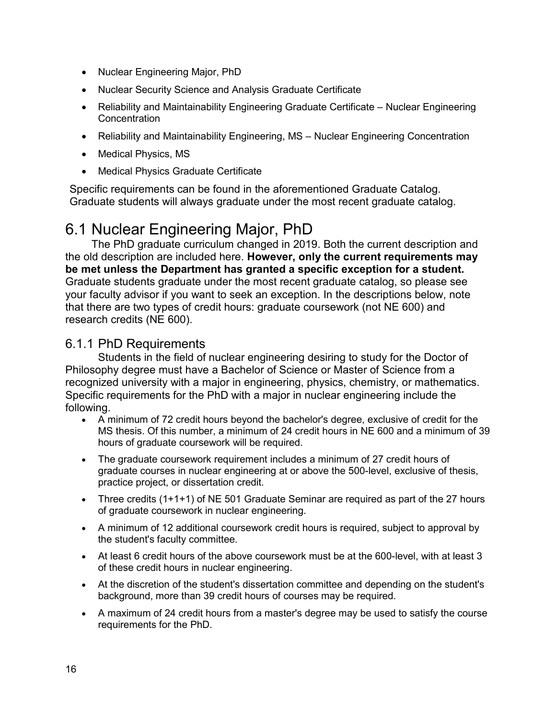- [Nuclear Engineering Major, PhD](http://catalog.utk.edu/preview_program.php?catoid=23&poid=9885&returnto=2835)
- Nuclear Security Science [and Analysis Graduate Certificate](http://catalog.utk.edu/preview_program.php?catoid=23&poid=9886&returnto=2835)
- [Reliability and Maintainability Engineering Graduate Certificate –](http://catalog.utk.edu/preview_program.php?catoid=23&poid=9922&returnto=2835) Nuclear Engineering **[Concentration](http://catalog.utk.edu/preview_program.php?catoid=23&poid=9922&returnto=2835)**
- [Reliability and Maintainability Engineering, MS –](http://catalog.utk.edu/preview_program.php?catoid=23&poid=9929&returnto=2835) Nuclear Engineering Concentration
- Medical Physics, MS
- Medical Physics Graduate Certificate

Specific requirements can be found in the aforementioned Graduate Catalog. Graduate students will always graduate under the most recent graduate catalog.

## <span id="page-19-0"></span>6.1 Nuclear Engineering Major, PhD

The PhD graduate curriculum changed in 2019. Both the current description and the old description are included here. **However, only the current requirements may be met unless the Department has granted a specific exception for a student.** Graduate students graduate under the most recent graduate catalog, so please see your faculty advisor if you want to seek an exception. In the descriptions below, note that there are two types of credit hours: graduate coursework (not NE 600) and research credits (NE 600).

#### <span id="page-19-1"></span>6.1.1 PhD Requirements

Students in the field of nuclear engineering desiring to study for the Doctor of Philosophy degree must have a Bachelor of Science or Master of Science from a recognized university with a major in engineering, physics, chemistry, or mathematics. Specific requirements for the PhD with a major in nuclear engineering include the following.

- A minimum of 72 credit hours beyond the bachelor's degree, exclusive of credit for the MS thesis. Of this number, a minimum of 24 credit hours in NE 600 and a minimum of 39 hours of graduate coursework will be required.
- The graduate coursework requirement includes a minimum of 27 credit hours of graduate courses in nuclear engineering at or above the 500-level, exclusive of thesis, practice project, or dissertation credit.
- Three credits (1+1+1) of NE 501 Graduate Seminar are required as part of the 27 hours of graduate coursework in nuclear engineering.
- A minimum of 12 additional coursework credit hours is required, subject to approval by the student's faculty committee.
- At least 6 credit hours of the above coursework must be at the 600-level, with at least 3 of these credit hours in nuclear engineering.
- At the discretion of the student's dissertation committee and depending on the student's background, more than 39 credit hours of courses may be required.
- A maximum of 24 credit hours from a master's degree may be used to satisfy the course requirements for the PhD.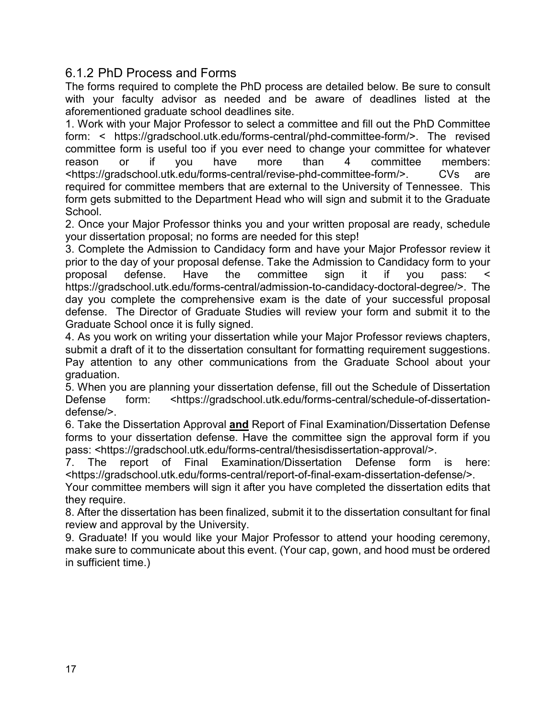#### <span id="page-20-0"></span>6.1.2 PhD Process and Forms

The forms required to complete the PhD process are detailed below. Be sure to consult with your faculty advisor as needed and be aware of deadlines listed at the aforementioned graduate school deadlines site.

1. Work with your Major Professor to select a committee and fill out the PhD Committee form: < https://gradschool.utk.edu/forms-central/phd-committee-form/>. The revised committee form is useful too if you ever need to change your committee for whatever reason or if you have more than 4 committee members: <https://gradschool.utk.edu/forms-central/revise-phd-committee-form/>. CVs are required for committee members that are external to the University of Tennessee. This form gets submitted to the Department Head who will sign and submit it to the Graduate **School** 

2. Once your Major Professor thinks you and your written proposal are ready, schedule your dissertation proposal; no forms are needed for this step!

3. Complete the Admission to Candidacy form and have your Major Professor review it prior to the day of your proposal defense. Take the Admission to Candidacy form to your proposal defense. Have the committee sign it if you pass: < https://gradschool.utk.edu/forms-central/admission-to-candidacy-doctoral-degree/>. The day you complete the comprehensive exam is the date of your successful proposal defense. The Director of Graduate Studies will review your form and submit it to the Graduate School once it is fully signed.

4. As you work on writing your dissertation while your Major Professor reviews chapters, submit a draft of it to the dissertation consultant for formatting requirement suggestions. Pay attention to any other communications from the Graduate School about your graduation.

5. When you are planning your dissertation defense, fill out the Schedule of Dissertation Defense form: <https://gradschool.utk.edu/forms-central/schedule-of-dissertationdefense/>.

6. Take the Dissertation Approval **and** Report of Final Examination/Dissertation Defense forms to your dissertation defense. Have the committee sign the approval form if you pass: <https://gradschool.utk.edu/forms-central/thesisdissertation-approval/>.

7. The report of Final Examination/Dissertation Defense form is here: <https://gradschool.utk.edu/forms-central/report-of-final-exam-dissertation-defense/>.

Your committee members will sign it after you have completed the dissertation edits that they require.

8. After the dissertation has been finalized, submit it to the dissertation consultant for final review and approval by the University.

9. Graduate! If you would like your Major Professor to attend your hooding ceremony, make sure to communicate about this event. (Your cap, gown, and hood must be ordered in sufficient time.)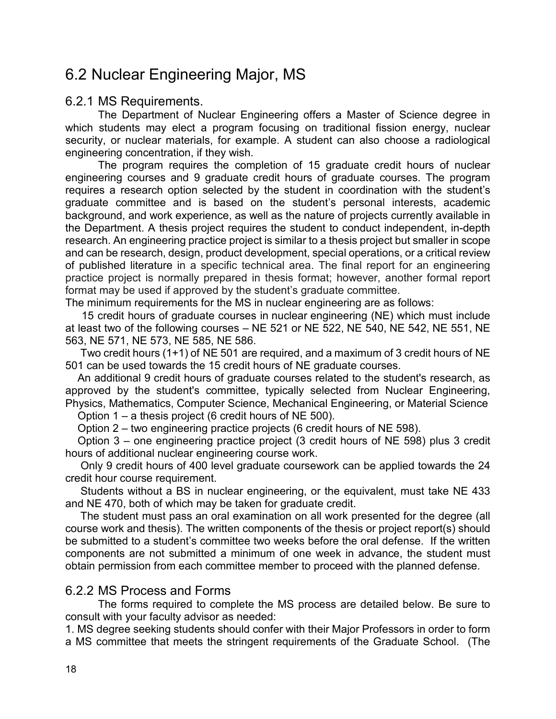## <span id="page-21-0"></span>6.2 Nuclear Engineering Major, MS

#### <span id="page-21-1"></span>6.2.1 MS Requirements.

The Department of Nuclear Engineering offers a Master of Science degree in which students may elect a program focusing on traditional fission energy, nuclear security, or nuclear materials, for example. A student can also choose a radiological engineering concentration, if they wish.

The program requires the completion of 15 graduate credit hours of nuclear engineering courses and 9 graduate credit hours of graduate courses. The program requires a research option selected by the student in coordination with the student's graduate committee and is based on the student's personal interests, academic background, and work experience, as well as the nature of projects currently available in the Department. A thesis project requires the student to conduct independent, in-depth research. An engineering practice project is similar to a thesis project but smaller in scope and can be research, design, product development, special operations, or a critical review of published literature in a specific technical area. The final report for an engineering practice project is normally prepared in thesis format; however, another formal report format may be used if approved by the student's graduate committee.

The minimum requirements for the MS in nuclear engineering are as follows:

15 credit hours of graduate courses in nuclear engineering (NE) which must include at least two of the following courses – NE 521 or NE 522, NE 540, NE 542, NE 551, NE 563, NE 571, NE 573, NE 585, NE 586.

 Two credit hours (1+1) of [NE 501](https://catalog.utk.edu/preview_program.php?catoid=27&poid=11718&returnto=3514#tt3908) are required, and a maximum of 3 credit hours of [NE](https://catalog.utk.edu/preview_program.php?catoid=27&poid=11718&returnto=3514#tt507)  [501](https://catalog.utk.edu/preview_program.php?catoid=27&poid=11718&returnto=3514#tt507) can be used towards the 15 credit hours of NE graduate courses.

 An additional 9 credit hours of graduate courses related to the student's research, as approved by the student's committee, typically selected from Nuclear Engineering, Physics, Mathematics, Computer Science, Mechanical Engineering, or Material Science

Option 1 – a thesis project (6 credit hours of NE 500).

Option 2 – two engineering practice projects (6 credit hours of NE 598).

 Option 3 – one engineering practice project (3 credit hours of NE 598) plus 3 credit hours of additional nuclear engineering course work.

 Only 9 credit hours of 400 level graduate coursework can be applied towards the 24 credit hour course requirement.

 Students without a BS in nuclear engineering, or the equivalent, must take NE 433 and NE 470, both of which may be taken for graduate credit.

 The student must pass an oral examination on all work presented for the degree (all course work and thesis). The written components of the thesis or project report(s) should be submitted to a student's committee two weeks before the oral defense. If the written components are not submitted a minimum of one week in advance, the student must obtain permission from each committee member to proceed with the planned defense.

#### <span id="page-21-2"></span>6.2.2 MS Process and Forms

The forms required to complete the MS process are detailed below. Be sure to consult with your faculty advisor as needed:

1. MS degree seeking students should confer with their Major Professors in order to form a MS committee that meets the stringent requirements of the Graduate School. (The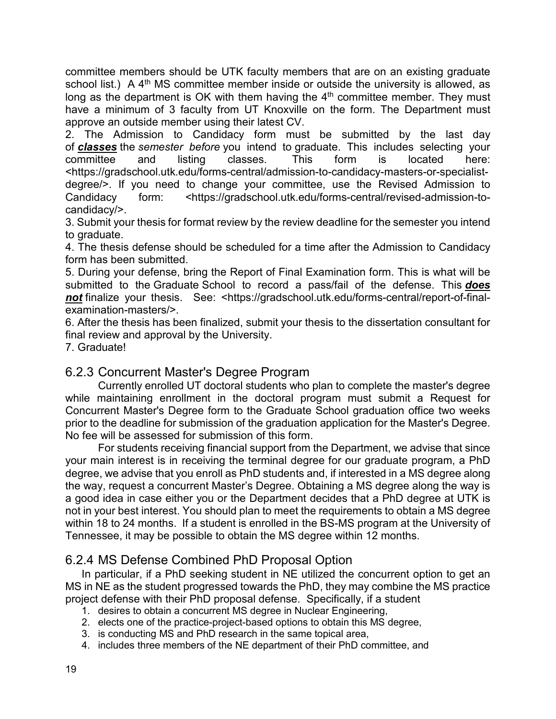committee members should be UTK faculty members that are on an existing graduate school list.) A  $4<sup>th</sup>$  MS committee member inside or outside the university is allowed, as long as the department is OK with them having the  $4<sup>th</sup>$  committee member. They must have a minimum of 3 faculty from UT Knoxville on the form. The Department must approve an outside member using their latest CV.

2. The Admission to Candidacy form must be submitted by the last day of *classes* the *semester before* you intend to graduate. This includes selecting your committee and listing classes. This form is located here: <https://gradschool.utk.edu/forms-central/admission-to-candidacy-masters-or-specialistdegree/>. If you need to change your committee, use the Revised Admission to Candidacy form: <https://gradschool.utk.edu/forms-central/revised-admission-tocandidacy/>.

3. Submit your thesis for format review by the review deadline for the semester you intend to graduate.

4. The thesis defense should be scheduled for a time after the Admission to Candidacy form has been submitted.

5. During your defense, bring the Report of Final Examination form. This is what will be submitted to the Graduate School to record a pass/fail of the defense. This *does not* finalize your thesis. See: <https://gradschool.utk.edu/forms-central/report-of-finalexamination-masters/>.

6. After the thesis has been finalized, submit your thesis to the dissertation consultant for final review and approval by the University.

<span id="page-22-0"></span>7. Graduate!

#### 6.2.3 Concurrent Master's Degree Program

Currently enrolled UT doctoral students who plan to complete the master's degree while maintaining enrollment in the doctoral program must submit a Request for Concurrent Master's Degree form to the Graduate School graduation office two weeks prior to the deadline for submission of the graduation application for the Master's Degree. No fee will be assessed for submission of this form.

For students receiving financial support from the Department, we advise that since your main interest is in receiving the terminal degree for our graduate program, a PhD degree, we advise that you enroll as PhD students and, if interested in a MS degree along the way, request a concurrent Master's Degree. Obtaining a MS degree along the way is a good idea in case either you or the Department decides that a PhD degree at UTK is not in your best interest. You should plan to meet the requirements to obtain a MS degree within 18 to 24 months. If a student is enrolled in the BS-MS program at the University of Tennessee, it may be possible to obtain the MS degree within 12 months.

#### <span id="page-22-1"></span>6.2.4 MS Defense Combined PhD Proposal Option

In particular, if a PhD seeking student in NE utilized the concurrent option to get an MS in NE as the student progressed towards the PhD, they may combine the MS practice project defense with their PhD proposal defense. Specifically, if a student

- 1. desires to obtain a concurrent MS degree in Nuclear Engineering,
- 2. elects one of the practice-project-based options to obtain this MS degree,
- 3. is conducting MS and PhD research in the same topical area,
- 4. includes three members of the NE department of their PhD committee, and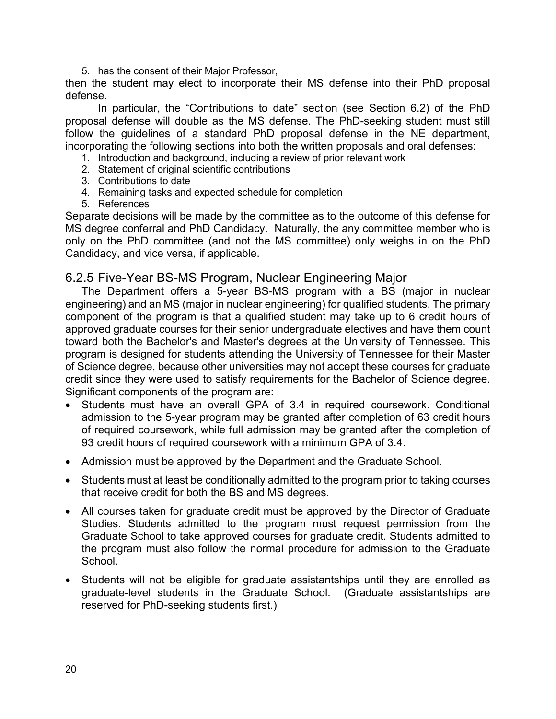5. has the consent of their Major Professor,

then the student may elect to incorporate their MS defense into their PhD proposal defense.

In particular, the "Contributions to date" section (see Section 6.2) of the PhD proposal defense will double as the MS defense. The PhD-seeking student must still follow the guidelines of a standard PhD proposal defense in the NE department, incorporating the following sections into both the written proposals and oral defenses:

- 1. Introduction and background, including a review of prior relevant work
- 2. Statement of original scientific contributions
- 3. Contributions to date
- 4. Remaining tasks and expected schedule for completion
- 5. References

Separate decisions will be made by the committee as to the outcome of this defense for MS degree conferral and PhD Candidacy. Naturally, the any committee member who is only on the PhD committee (and not the MS committee) only weighs in on the PhD Candidacy, and vice versa, if applicable.

#### <span id="page-23-0"></span>6.2.5 Five-Year BS-MS Program, Nuclear Engineering Major

The Department offers a 5-year BS-MS program with a BS (major in nuclear engineering) and an MS (major in nuclear engineering) for qualified students. The primary component of the program is that a qualified student may take up to 6 credit hours of approved graduate courses for their senior undergraduate electives and have them count toward both the Bachelor's and Master's degrees at the University of Tennessee. This program is designed for students attending the University of Tennessee for their Master of Science degree, because other universities may not accept these courses for graduate credit since they were used to satisfy requirements for the Bachelor of Science degree. Significant components of the program are:

- Students must have an overall GPA of 3.4 in required coursework. Conditional admission to the 5-year program may be granted after completion of 63 credit hours of required coursework, while full admission may be granted after the completion of 93 credit hours of required coursework with a minimum GPA of 3.4.
- Admission must be approved by the Department and the Graduate School.
- Students must at least be conditionally admitted to the program prior to taking courses that receive credit for both the BS and MS degrees.
- All courses taken for graduate credit must be approved by the Director of Graduate Studies. Students admitted to the program must request permission from the Graduate School to take approved courses for graduate credit. Students admitted to the program must also follow the normal procedure for admission to the Graduate School.
- Students will not be eligible for graduate assistantships until they are enrolled as graduate-level students in the Graduate School. (Graduate assistantships are reserved for PhD-seeking students first.)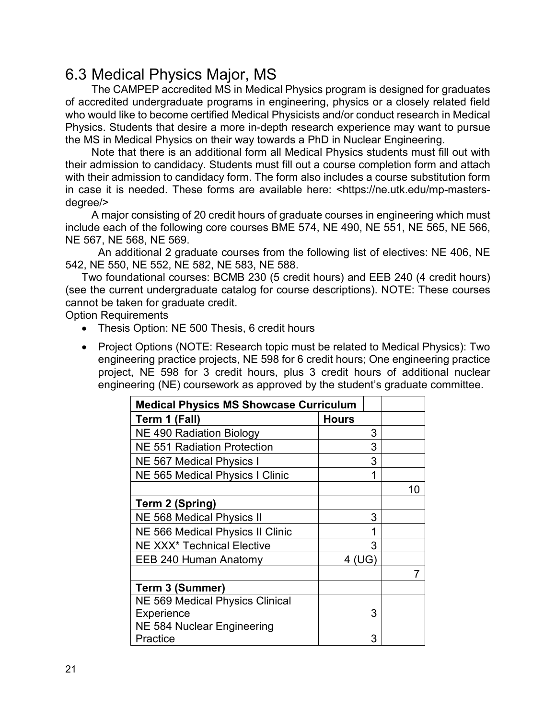## <span id="page-24-0"></span>6.3 Medical Physics Major, MS

The CAMPEP accredited MS in Medical Physics program is designed for graduates of accredited undergraduate programs in engineering, physics or a closely related field who would like to become certified Medical Physicists and/or conduct research in Medical Physics. Students that desire a more in-depth research experience may want to pursue the MS in Medical Physics on their way towards a PhD in Nuclear Engineering.

Note that there is an additional form all Medical Physics students must fill out with their admission to candidacy. Students must fill out a course completion form and attach with their admission to candidacy form. The form also includes a course substitution form in case it is needed. These forms are available here: <https://ne.utk.edu/mp-mastersdegree/>

A major consisting of 20 credit hours of graduate courses in engineering which must include each of the following core courses BME 574, NE 490, NE 551, NE 565, NE 566, NE 567, NE 568, NE 569.

An additional 2 graduate courses from the following list of electives: NE 406, NE 542, NE 550, NE 552, NE 582, NE 583, NE 588.

Two foundational courses: BCMB 230 (5 credit hours) and EEB 240 (4 credit hours) (see the current undergraduate catalog for course descriptions). NOTE: These courses cannot be taken for graduate credit.

Option Requirements

- Thesis Option: NE 500 Thesis, 6 credit hours
- Project Options (NOTE: Research topic must be related to Medical Physics): Two engineering practice projects, NE 598 for 6 credit hours; One engineering practice project, NE 598 for 3 credit hours, plus 3 credit hours of additional nuclear engineering (NE) coursework as approved by the student's graduate committee.

| <b>Medical Physics MS Showcase Curriculum</b> |              |    |
|-----------------------------------------------|--------------|----|
| Term 1 (Fall)                                 | <b>Hours</b> |    |
| NE 490 Radiation Biology                      | 3            |    |
| <b>NE 551 Radiation Protection</b>            | 3            |    |
| NE 567 Medical Physics I                      | 3            |    |
| <b>NE 565 Medical Physics I Clinic</b>        | 1            |    |
|                                               |              | 10 |
| <b>Term 2 (Spring)</b>                        |              |    |
| <b>NE 568 Medical Physics II</b>              | 3            |    |
| <b>NE 566 Medical Physics II Clinic</b>       | 1            |    |
| <b>NE XXX* Technical Elective</b>             | 3            |    |
| EEB 240 Human Anatomy                         | 4 (UG        |    |
|                                               |              |    |
| <b>Term 3 (Summer)</b>                        |              |    |
| <b>NE 569 Medical Physics Clinical</b>        |              |    |
| Experience                                    | 3            |    |
| NE 584 Nuclear Engineering                    |              |    |
| Practice                                      | 3            |    |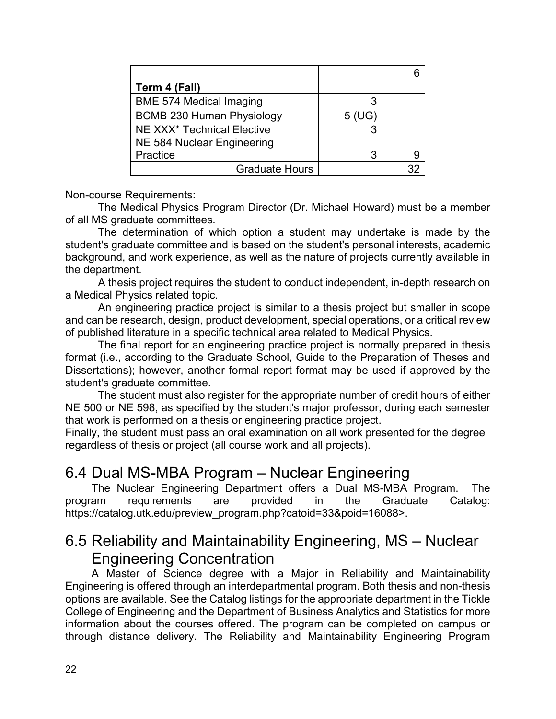| Term 4 (Fall)                          |       |   |
|----------------------------------------|-------|---|
| <b>BME 574 Medical Imaging</b>         |       |   |
| <b>BCMB 230 Human Physiology</b>       | 5(UG) |   |
| NE XXX <sup>*</sup> Technical Elective |       |   |
| NE 584 Nuclear Engineering             |       |   |
| Practice                               | 3     | 9 |
| <b>Graduate Hours</b>                  |       |   |

Non-course Requirements:

The Medical Physics Program Director (Dr. Michael Howard) must be a member of all MS graduate committees.

The determination of which option a student may undertake is made by the student's graduate committee and is based on the student's personal interests, academic background, and work experience, as well as the nature of projects currently available in the department.

A thesis project requires the student to conduct independent, in-depth research on a Medical Physics related topic.

An engineering practice project is similar to a thesis project but smaller in scope and can be research, design, product development, special operations, or a critical review of published literature in a specific technical area related to Medical Physics.

The final report for an engineering practice project is normally prepared in thesis format (i.e., according to the Graduate School, Guide to the Preparation of Theses and Dissertations); however, another formal report format may be used if approved by the student's graduate committee.

The student must also register for the appropriate number of credit hours of either NE 500 or NE 598, as specified by the student's major professor, during each semester that work is performed on a thesis or engineering practice project.

Finally, the student must pass an oral examination on all work presented for the degree regardless of thesis or project (all course work and all projects).

## <span id="page-25-0"></span>6.4 Dual MS-MBA Program – Nuclear Engineering

The Nuclear Engineering Department offers a Dual MS-MBA Program. The program requirements are provided in the Graduate Catalog: https://catalog.utk.edu/preview\_program.php?catoid=33&poid=16088>.

## <span id="page-25-1"></span>6.5 Reliability and Maintainability Engineering, MS – Nuclear Engineering Concentration

A Master of Science degree with a Major in Reliability and Maintainability Engineering is offered through an interdepartmental program. Both thesis and non-thesis options are available. See the Catalog listings for the appropriate department in the Tickle College of Engineering and the Department of Business Analytics and Statistics for more information about the courses offered. The program can be completed on campus or through distance delivery. The Reliability and Maintainability Engineering Program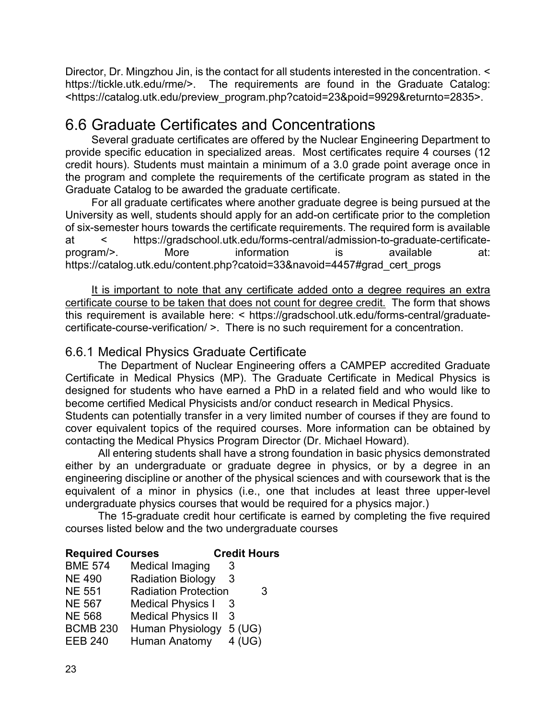Director, Dr. Mingzhou Jin, is the contact for all students interested in the concentration. < https://tickle.utk.edu/rme/>. The requirements are found in the [Graduate Catalog:](http://catalog.utk.edu/preview_program.php?catoid=23&poid=9929&returnto=2835) <https://catalog.utk.edu/preview\_program.php?catoid=23&poid=9929&returnto=2835>.

## <span id="page-26-0"></span>6.6 Graduate Certificates and Concentrations

Several graduate certificates are offered by the Nuclear Engineering Department to provide specific education in specialized areas. Most certificates require 4 courses (12 credit hours). Students must maintain a minimum of a 3.0 grade point average once in the program and complete the requirements of the certificate program as stated in the Graduate Catalog to be awarded the graduate certificate.

For all graduate certificates where another graduate degree is being pursued at the University as well, students should apply for an add-on certificate prior to the completion of six-semester hours towards the certificate requirements. The required form is available at < https://gradschool.utk.edu/forms-central/admission-to-graduate-certificateprogram/>. More information is available at: https://catalog.utk.edu/content.php?catoid=33&navoid=4457#grad\_cert\_progs

It is important to note that any certificate added onto a degree requires an extra certificate course to be taken that does not count for degree credit. The form that shows this requirement is available here: < https://gradschool.utk.edu/forms-central/graduatecertificate-course-verification/ >. There is no such requirement for a concentration.

#### <span id="page-26-1"></span>6.6.1 Medical Physics Graduate Certificate

The Department of Nuclear Engineering offers a CAMPEP accredited Graduate Certificate in Medical Physics (MP). The Graduate Certificate in Medical Physics is designed for students who have earned a PhD in a related field and who would like to become certified Medical Physicists and/or conduct research in Medical Physics.

Students can potentially transfer in a very limited number of courses if they are found to cover equivalent topics of the required courses. More information can be obtained by contacting the Medical Physics Program Director (Dr. Michael Howard).

All entering students shall have a strong foundation in basic physics demonstrated either by an undergraduate or graduate degree in physics, or by a degree in an engineering discipline or another of the physical sciences and with coursework that is the equivalent of a minor in physics (i.e., one that includes at least three upper-level undergraduate physics courses that would be required for a physics major.)

The 15-graduate credit hour certificate is earned by completing the five required courses listed below and the two undergraduate courses

#### **Required Courses Credit Hours** BME 574 Medical Imaging 3 NE 490 Radiation Biology 3 NE 551 Radiation Protection 3 NE 567 Medical Physics I 3 NE 568 Medical Physics II 3 BCMB 230 Human Physiology 5 (UG) EEB 240 Human Anatomy 4 (UG)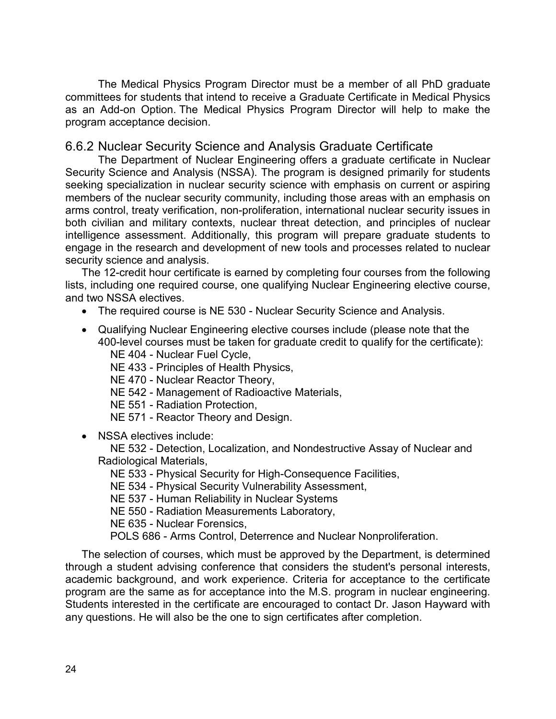The Medical Physics Program Director must be a member of all PhD graduate committees for students that intend to receive a Graduate Certificate in Medical Physics as an Add-on Option. The Medical Physics Program Director will help to make the program acceptance decision.

#### <span id="page-27-0"></span>6.6.2 Nuclear Security Science and Analysis Graduate Certificate

The Department of Nuclear Engineering offers a graduate certificate in Nuclear Security Science and Analysis (NSSA). The program is designed primarily for students seeking specialization in nuclear security science with emphasis on current or aspiring members of the nuclear security community, including those areas with an emphasis on arms control, treaty verification, non-proliferation, international nuclear security issues in both civilian and military contexts, nuclear threat detection, and principles of nuclear intelligence assessment. Additionally, this program will prepare graduate students to engage in the research and development of new tools and processes related to nuclear security science and analysis.

The 12-credit hour certificate is earned by completing four courses from the following lists, including one required course, one qualifying Nuclear Engineering elective course, and two NSSA electives.

- The required course is NE 530 [Nuclear Security Science and Analysis.](http://catalog.utk.edu/preview_program.php?catoid=23&poid=9886&returnto=2835#tt2874)
- Qualifying Nuclear Engineering elective courses include (please note that the 400-level courses must be taken for graduate credit to qualify for the certificate):
	- NE 404 [Nuclear Fuel Cycle,](http://catalog.utk.edu/preview_program.php?catoid=23&poid=9886&returnto=2835#tt370)
	- NE 433 [Principles of Health Physics,](http://catalog.utk.edu/preview_program.php?catoid=23&poid=9886&returnto=2835#tt6555)
	- NE 470 [Nuclear Reactor Theory,](http://catalog.utk.edu/preview_program.php?catoid=23&poid=9886&returnto=2835#tt4216)
	- NE 542 [Management of Radioactive Materials,](http://catalog.utk.edu/preview_program.php?catoid=23&poid=9886&returnto=2835#tt4527)
	- NE 551 [Radiation Protection,](http://catalog.utk.edu/preview_program.php?catoid=23&poid=9886&returnto=2835#tt2414)
	- NE 571 [Reactor Theory and Design.](http://catalog.utk.edu/preview_program.php?catoid=23&poid=9886&returnto=2835#tt2418)
- NSSA electives include:

 NE 532 - [Detection, Localization, and Nondestructive Assay of Nuclear](http://catalog.utk.edu/preview_program.php?catoid=23&poid=9886&returnto=2835#tt2891) and [Radiological Materials,](http://catalog.utk.edu/preview_program.php?catoid=23&poid=9886&returnto=2835#tt2891)

- NE 533 [Physical Security for High-Consequence Facilities,](http://catalog.utk.edu/preview_program.php?catoid=23&poid=9886&returnto=2835#tt2573)
- NE 534 [Physical Security Vulnerability Assessment,](http://catalog.utk.edu/preview_program.php?catoid=23&poid=9886&returnto=2835#tt1603)

NE 537 - [Human Reliability in Nuclear Systems](http://catalog.utk.edu/preview_program.php?catoid=23&poid=9886&returnto=2835#tt6837)

- NE 550 [Radiation Measurements Laboratory,](http://catalog.utk.edu/preview_program.php?catoid=23&poid=9886&returnto=2835#tt2024)
- NE 635 [Nuclear Forensics,](http://catalog.utk.edu/preview_program.php?catoid=23&poid=9886&returnto=2835#tt1371)
- POLS 686 [Arms Control, Deterrence and Nuclear Nonproliferation.](http://catalog.utk.edu/preview_program.php?catoid=23&poid=9886&returnto=2835#tt5976)

The selection of courses, which must be approved by the Department, is determined through a student advising conference that considers the student's personal interests, academic background, and work experience. Criteria for acceptance to the certificate program are the same as for acceptance into the M.S. program in nuclear engineering. Students interested in the certificate are encouraged to contact Dr. Jason Hayward with any questions. He will also be the one to sign certificates after completion.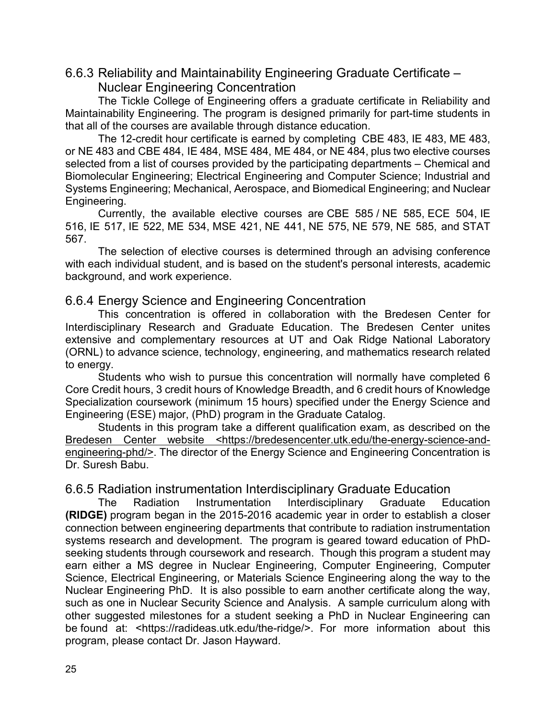#### <span id="page-28-0"></span>6.6.3 Reliability and Maintainability Engineering Graduate Certificate –

Nuclear Engineering Concentration

The Tickle College of Engineering offers a graduate certificate in Reliability and Maintainability Engineering. The program is designed primarily for part-time students in that all of the courses are available through distance education.

The 12-credit hour certificate is earned by completing [CBE 483,](http://catalog.utk.edu/preview_program.php?catoid=23&poid=9922&returnto=2835#tt3261) [IE 483,](http://catalog.utk.edu/preview_program.php?catoid=23&poid=9922&returnto=2835#tt9287) [ME 483,](http://catalog.utk.edu/preview_program.php?catoid=23&poid=9922&returnto=2835#tt7668) or [NE 483](http://catalog.utk.edu/preview_program.php?catoid=23&poid=9922&returnto=2835#tt3948) and [CBE 484,](http://catalog.utk.edu/preview_program.php?catoid=23&poid=9922&returnto=2835#tt2889) [IE 484,](http://catalog.utk.edu/preview_program.php?catoid=23&poid=9922&returnto=2835#tt2139) [MSE 484,](http://catalog.utk.edu/preview_program.php?catoid=23&poid=9922&returnto=2835#tt9033) [ME 484,](http://catalog.utk.edu/preview_program.php?catoid=23&poid=9922&returnto=2835#tt3664) or [NE 484,](http://catalog.utk.edu/preview_program.php?catoid=23&poid=9922&returnto=2835#tt8754) plus two elective courses selected from a list of courses provided by the participating departments – Chemical and Biomolecular Engineering; Electrical Engineering and Computer Science; Industrial and Systems Engineering; Mechanical, Aerospace, and Biomedical Engineering; and Nuclear Engineering.

Currently, the available elective courses are [CBE 585](http://catalog.utk.edu/preview_program.php?catoid=23&poid=9922&returnto=2835#tt6872) / [NE 585,](http://catalog.utk.edu/preview_program.php?catoid=23&poid=9922&returnto=2835#tt5152) [ECE 504,](http://catalog.utk.edu/preview_program.php?catoid=23&poid=9922&returnto=2835#tt9121) [IE](http://catalog.utk.edu/preview_program.php?catoid=23&poid=9922&returnto=2835#tt2581)  [516,](http://catalog.utk.edu/preview_program.php?catoid=23&poid=9922&returnto=2835#tt2581) [IE 517,](http://catalog.utk.edu/preview_program.php?catoid=23&poid=9922&returnto=2835#tt1038) [IE 522,](http://catalog.utk.edu/preview_program.php?catoid=23&poid=9922&returnto=2835#tt3183) [ME 534,](http://catalog.utk.edu/preview_program.php?catoid=23&poid=9922&returnto=2835#tt905) [MSE 421,](http://catalog.utk.edu/preview_program.php?catoid=23&poid=9922&returnto=2835#tt7001) [NE 441,](http://catalog.utk.edu/preview_program.php?catoid=23&poid=9922&returnto=2835#tt6895) [NE 575,](http://catalog.utk.edu/preview_program.php?catoid=23&poid=9922&returnto=2835#tt8543) [NE 579,](http://catalog.utk.edu/preview_program.php?catoid=23&poid=9922&returnto=2835#tt3823) [NE 585,](http://catalog.utk.edu/preview_program.php?catoid=23&poid=9922&returnto=2835#tt9807) and [STAT](http://catalog.utk.edu/preview_program.php?catoid=23&poid=9922&returnto=2835#tt7489)  [567.](http://catalog.utk.edu/preview_program.php?catoid=23&poid=9922&returnto=2835#tt7489)

The selection of elective courses is determined through an advising conference with each individual student, and is based on the student's personal interests, academic background, and work experience.

#### <span id="page-28-1"></span>6.6.4 Energy Science and Engineering Concentration

This concentration is offered in collaboration with the Bredesen Center for Interdisciplinary Research and Graduate Education. The Bredesen Center unites extensive and complementary resources at UT and Oak Ridge National Laboratory (ORNL) to advance science, technology, engineering, and mathematics research related to energy.

Students who wish to pursue this concentration will normally have completed 6 Core Credit hours, 3 credit hours of Knowledge Breadth, and 6 credit hours of Knowledge Specialization coursework (minimum 15 hours) specified under the Energy Science and Engineering (ESE) major, (PhD) program in the Graduate Catalog.

Students in this program take a different qualification exam, as described on the [Bredesen Center website](http://bredesencenter.utk.edu/the-energy-science-and-engineering-phd/) <https://bredesencenter.utk.edu/the-energy-science-andengineering-phd/>. The director of the Energy Science and Engineering Concentration is Dr. Suresh Babu.

#### <span id="page-28-2"></span>6.6.5 Radiation instrumentation Interdisciplinary Graduate Education

The Radiation Instrumentation Interdisciplinary Graduate Education **(RIDGE)** program began in the 2015-2016 academic year in order to establish a closer connection between engineering departments that contribute to radiation instrumentation systems research and development. The program is geared toward education of PhDseeking students through coursework and research. Though this program a student may earn either a MS degree in Nuclear Engineering, Computer Engineering, Computer Science, Electrical Engineering, or Materials Science Engineering along the way to the Nuclear Engineering PhD. It is also possible to earn another certificate along the way, such as one in Nuclear Security Science and Analysis. A sample curriculum along with other suggested milestones for a student seeking a PhD in Nuclear Engineering can be found at: <https://radideas.utk.edu/the-ridge/>. For more information about this program, please contact [Dr. Jason Hayward.](http://ne.utk.edu/people/jason-p-hayward/)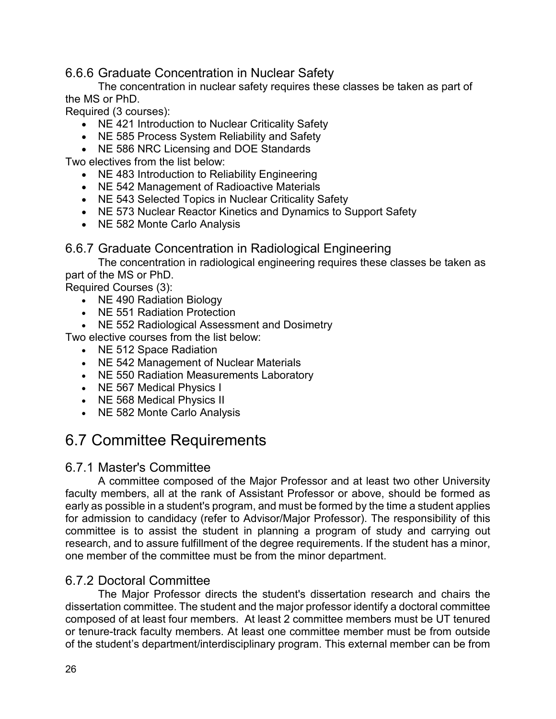<span id="page-29-0"></span>6.6.6 Graduate Concentration in Nuclear Safety

The concentration in nuclear safety requires these classes be taken as part of the MS or PhD.

Required (3 courses):

- NE 421 Introduction to Nuclear Criticality Safety
- NE 585 Process System Reliability and Safety
- NE 586 NRC Licensing and DOE Standards

Two electives from the list below:

- NE 483 Introduction to Reliability Engineering
- NE 542 Management of Radioactive Materials
- NE 543 Selected Topics in Nuclear Criticality Safety
- NE 573 Nuclear Reactor Kinetics and Dynamics to Support Safety
- NE 582 Monte Carlo Analysis

<span id="page-29-1"></span>6.6.7 Graduate Concentration in Radiological Engineering

The concentration in radiological engineering requires these classes be taken as part of the MS or PhD.

Required Courses (3):

- NE 490 Radiation Biology
- NE 551 Radiation Protection
- NE 552 Radiological Assessment and Dosimetry

Two elective courses from the list below:

- NE 512 Space Radiation
- NE 542 Management of Nuclear Materials
- NE 550 Radiation Measurements Laboratory
- NE 567 Medical Physics I
- NE 568 Medical Physics II
- NE 582 Monte Carlo Analysis

## <span id="page-29-2"></span>6.7 Committee Requirements

#### <span id="page-29-3"></span>6.7.1 Master's Committee

A committee composed of the Major Professor and at least two other University faculty members, all at the rank of Assistant Professor or above, should be formed as early as possible in a student's program, and must be formed by the time a student applies for admission to candidacy (refer to Advisor/Major Professor). The responsibility of this committee is to assist the student in planning a program of study and carrying out research, and to assure fulfillment of the degree requirements. If the student has a minor, one member of the committee must be from the minor department.

#### <span id="page-29-4"></span>6.7.2 Doctoral Committee

The Major Professor directs the student's dissertation research and chairs the dissertation committee. The student and the major professor identify a doctoral committee composed of at least four members. At least 2 committee members must be UT tenured or tenure-track faculty members. At least one committee member must be from outside of the student's department/interdisciplinary program. This external member can be from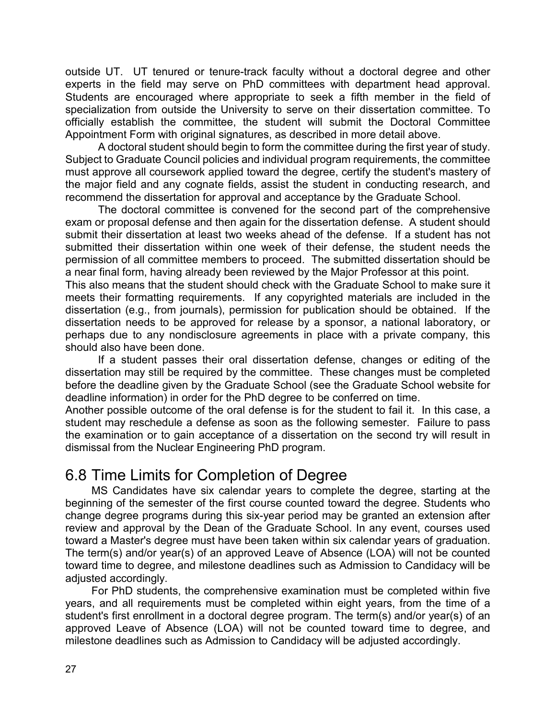outside UT. UT tenured or tenure-track faculty without a doctoral degree and other experts in the field may serve on PhD committees with department head approval. Students are encouraged where appropriate to seek a fifth member in the field of specialization from outside the University to serve on their dissertation committee. To officially establish the committee, the student will submit the Doctoral Committee Appointment Form with original signatures, as described in more detail above.

A doctoral student should begin to form the committee during the first year of study. Subject to Graduate Council policies and individual program requirements, the committee must approve all coursework applied toward the degree, certify the student's mastery of the major field and any cognate fields, assist the student in conducting research, and recommend the dissertation for approval and acceptance by the Graduate School.

The doctoral committee is convened for the second part of the comprehensive exam or proposal defense and then again for the dissertation defense. A student should submit their dissertation at least two weeks ahead of the defense. If a student has not submitted their dissertation within one week of their defense, the student needs the permission of all committee members to proceed. The submitted dissertation should be a near final form, having already been reviewed by the Major Professor at this point.

This also means that the student should check with the Graduate School to make sure it meets their formatting requirements. If any copyrighted materials are included in the dissertation (e.g., from journals), permission for publication should be obtained. If the dissertation needs to be approved for release by a sponsor, a national laboratory, or perhaps due to any nondisclosure agreements in place with a private company, this should also have been done.

If a student passes their oral dissertation defense, changes or editing of the dissertation may still be required by the committee. These changes must be completed before the deadline given by the Graduate School (see the Graduate School website for deadline information) in order for the PhD degree to be conferred on time.

Another possible outcome of the oral defense is for the student to fail it. In this case, a student may reschedule a defense as soon as the following semester. Failure to pass the examination or to gain acceptance of a dissertation on the second try will result in dismissal from the Nuclear Engineering PhD program.

## <span id="page-30-0"></span>6.8 Time Limits for Completion of Degree

MS Candidates have six calendar years to complete the degree, starting at the beginning of the semester of the first course counted toward the degree. Students who change degree programs during this six-year period may be granted an extension after review and approval by the Dean of the Graduate School. In any event, courses used toward a Master's degree must have been taken within six calendar years of graduation. The term(s) and/or year(s) of an approved Leave of Absence (LOA) will not be counted toward time to degree, and milestone deadlines such as Admission to Candidacy will be adjusted accordingly.

For PhD students, the comprehensive examination must be completed within five years, and all requirements must be completed within eight years, from the time of a student's first enrollment in a doctoral degree program. The term(s) and/or year(s) of an approved Leave of Absence (LOA) will not be counted toward time to degree, and milestone deadlines such as Admission to Candidacy will be adjusted accordingly.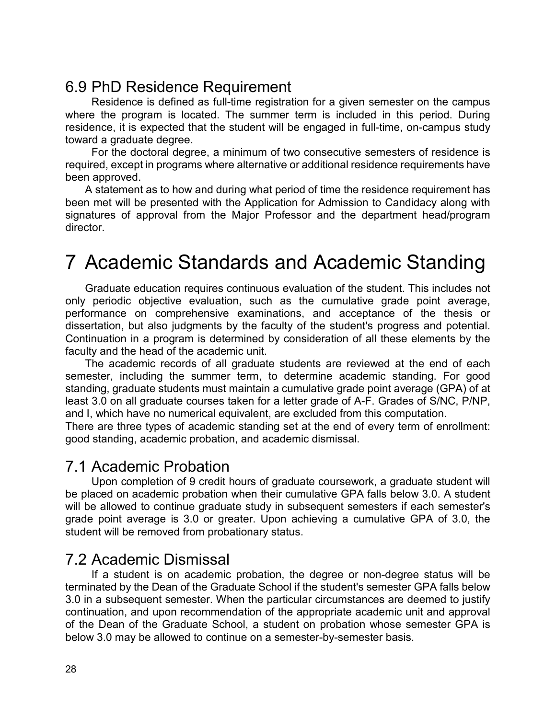## <span id="page-31-0"></span>6.9 PhD Residence Requirement

Residence is defined as full-time registration for a given semester on the campus where the program is located. The summer term is included in this period. During residence, it is expected that the student will be engaged in full-time, on-campus study toward a graduate degree.

For the doctoral degree, a minimum of two consecutive semesters of residence is required, except in programs where alternative or additional residence requirements have been approved.

A statement as to how and during what period of time the residence requirement has been met will be presented with the Application for Admission to Candidacy along with signatures of approval from the Major Professor and the department head/program director.

## <span id="page-31-1"></span>7 Academic Standards and Academic Standing

Graduate education requires continuous evaluation of the student. This includes not only periodic objective evaluation, such as the cumulative grade point average, performance on comprehensive examinations, and acceptance of the thesis or dissertation, but also judgments by the faculty of the student's progress and potential. Continuation in a program is determined by consideration of all these elements by the faculty and the head of the academic unit.

The academic records of all graduate students are reviewed at the end of each semester, including the summer term, to determine academic standing. For good standing, graduate students must maintain a cumulative grade point average (GPA) of at least 3.0 on all graduate courses taken for a letter grade of A-F. Grades of S/NC, P/NP, and I, which have no numerical equivalent, are excluded from this computation.

There are three types of academic standing set at the end of every term of enrollment: good standing, academic probation, and academic dismissal.

#### <span id="page-31-2"></span>7.1 Academic Probation

Upon completion of 9 credit hours of graduate coursework, a graduate student will be placed on academic probation when their cumulative GPA falls below 3.0. A student will be allowed to continue graduate study in subsequent semesters if each semester's grade point average is 3.0 or greater. Upon achieving a cumulative GPA of 3.0, the student will be removed from probationary status.

#### <span id="page-31-3"></span>7.2 Academic Dismissal

If a student is on academic probation, the degree or non-degree status will be terminated by the Dean of the Graduate School if the student's semester GPA falls below 3.0 in a subsequent semester. When the particular circumstances are deemed to justify continuation, and upon recommendation of the appropriate academic unit and approval of the Dean of the Graduate School, a student on probation whose semester GPA is below 3.0 may be allowed to continue on a semester-by-semester basis.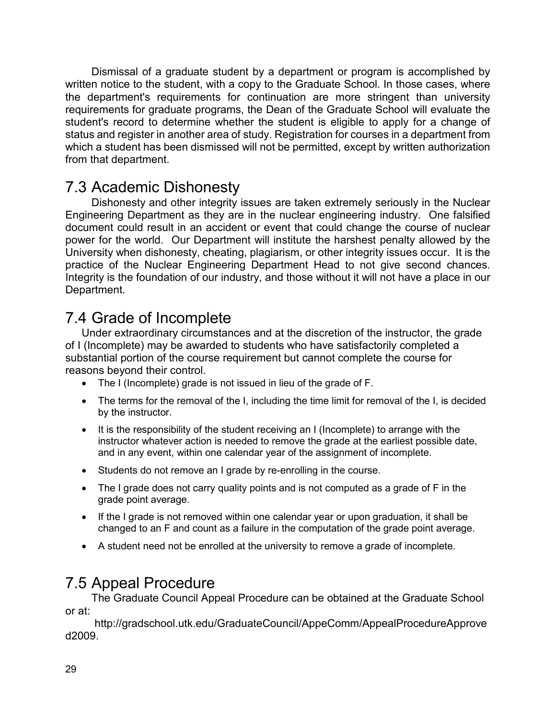Dismissal of a graduate student by a department or program is accomplished by written notice to the student, with a copy to the Graduate School. In those cases, where the department's requirements for continuation are more stringent than university requirements for graduate programs, the Dean of the Graduate School will evaluate the student's record to determine whether the student is eligible to apply for a change of status and register in another area of study. Registration for courses in a department from which a student has been dismissed will not be permitted, except by written authorization from that department.

## <span id="page-32-0"></span>7.3 Academic Dishonesty

Dishonesty and other integrity issues are taken extremely seriously in the Nuclear Engineering Department as they are in the nuclear engineering industry. One falsified document could result in an accident or event that could change the course of nuclear power for the world. Our Department will institute the harshest penalty allowed by the University when dishonesty, cheating, plagiarism, or other integrity issues occur. It is the practice of the Nuclear Engineering Department Head to not give second chances. Integrity is the foundation of our industry, and those without it will not have a place in our Department.

## <span id="page-32-1"></span>7.4 Grade of Incomplete

Under extraordinary circumstances and at the discretion of the instructor, the grade of I (Incomplete) may be awarded to students who have satisfactorily completed a substantial portion of the course requirement but cannot complete the course for reasons beyond their control.

- The I (Incomplete) grade is not issued in lieu of the grade of F.
- The terms for the removal of the I, including the time limit for removal of the I, is decided by the instructor.
- It is the responsibility of the student receiving an I (Incomplete) to arrange with the instructor whatever action is needed to remove the grade at the earliest possible date, and in any event, within one calendar year of the assignment of incomplete.
- Students do not remove an I grade by re-enrolling in the course.
- The I grade does not carry quality points and is not computed as a grade of F in the grade point average.
- If the I grade is not removed within one calendar year or upon graduation, it shall be changed to an F and count as a failure in the computation of the grade point average.
- A student need not be enrolled at the university to remove a grade of incomplete.

## <span id="page-32-2"></span>7.5 Appeal Procedure

The Graduate Council Appeal Procedure can be obtained at the Graduate School or at:

[http://gradschool.utk.edu/GraduateCouncil/AppeComm/AppealProcedureApprove](http://gradschool.utk.edu/GraduateCouncil/AppeComm/AppealProcedureApproved2009) [d2009.](http://gradschool.utk.edu/GraduateCouncil/AppeComm/AppealProcedureApproved2009)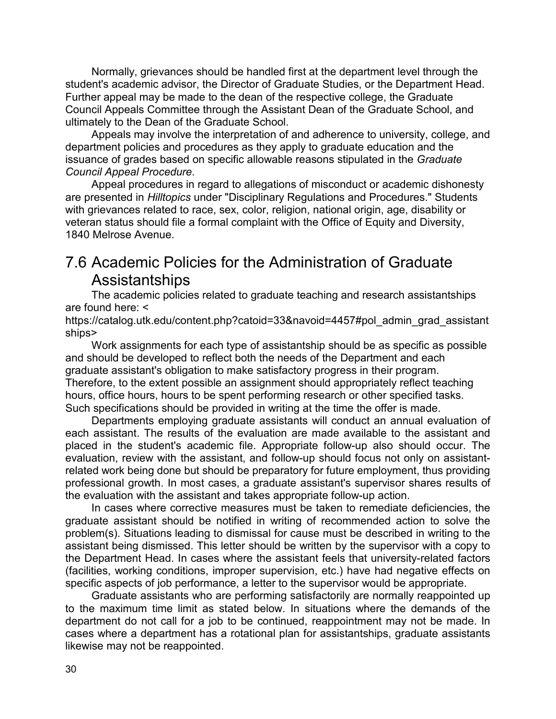Normally, grievances should be handled first at the department level through the student's academic advisor, the Director of Graduate Studies, or the Department Head. Further appeal may be made to the dean of the respective college, the Graduate Council Appeals Committee through the Assistant Dean of the Graduate School, and ultimately to the Dean of the Graduate School.

Appeals may involve the interpretation of and adherence to university, college, and department policies and procedures as they apply to graduate education and the issuance of grades based on specific allowable reasons stipulated in the *Graduate Council Appeal Procedure*.

Appeal procedures in regard to allegations of misconduct or academic dishonesty are presented in *Hilltopics* under "Disciplinary Regulations and Procedures." Students with grievances related to race, sex, color, religion, national origin, age, disability or veteran status should file a formal complaint with the Office of Equity and Diversity, 1840 Melrose Avenue.

## <span id="page-33-0"></span>7.6 Academic Policies for the Administration of Graduate Assistantships

The academic policies related to graduate teaching and research assistantships are found here: <

https://catalog.utk.edu/content.php?catoid=33&navoid=4457#pol\_admin\_grad\_assistant ships>

Work assignments for each type of assistantship should be as specific as possible and should be developed to reflect both the needs of the Department and each graduate assistant's obligation to make satisfactory progress in their program. Therefore, to the extent possible an assignment should appropriately reflect teaching hours, office hours, hours to be spent performing research or other specified tasks. Such specifications should be provided in writing at the time the offer is made.

Departments employing graduate assistants will conduct an annual evaluation of each assistant. The results of the evaluation are made available to the assistant and placed in the student's academic file. Appropriate follow-up also should occur. The evaluation, review with the assistant, and follow-up should focus not only on assistantrelated work being done but should be preparatory for future employment, thus providing professional growth. In most cases, a graduate assistant's supervisor shares results of the evaluation with the assistant and takes appropriate follow-up action.

In cases where corrective measures must be taken to remediate deficiencies, the graduate assistant should be notified in writing of recommended action to solve the problem(s). Situations leading to dismissal for cause must be described in writing to the assistant being dismissed. This letter should be written by the supervisor with a copy to the Department Head. In cases where the assistant feels that university-related factors (facilities, working conditions, improper supervision, etc.) have had negative effects on specific aspects of job performance, a letter to the supervisor would be appropriate.

Graduate assistants who are performing satisfactorily are normally reappointed up to the maximum time limit as stated below. In situations where the demands of the department do not call for a job to be continued, reappointment may not be made. In cases where a department has a rotational plan for assistantships, graduate assistants likewise may not be reappointed.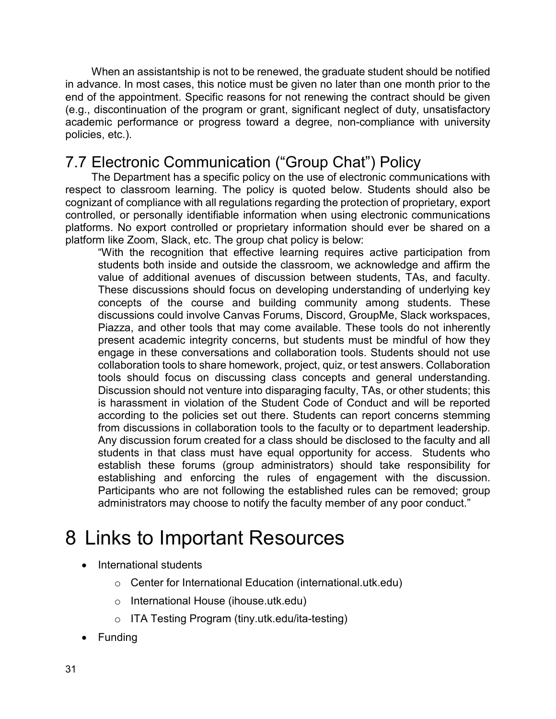When an assistantship is not to be renewed, the graduate student should be notified in advance. In most cases, this notice must be given no later than one month prior to the end of the appointment. Specific reasons for not renewing the contract should be given (e.g., discontinuation of the program or grant, significant neglect of duty, unsatisfactory academic performance or progress toward a degree, non-compliance with university policies, etc.).

## 7.7 Electronic Communication ("Group Chat") Policy

The Department has a specific policy on the use of electronic communications with respect to classroom learning. The policy is quoted below. Students should also be cognizant of compliance with all regulations regarding the protection of proprietary, export controlled, or personally identifiable information when using electronic communications platforms. No export controlled or proprietary information should ever be shared on a platform like Zoom, Slack, etc. The group chat policy is below:

"With the recognition that effective learning requires active participation from students both inside and outside the classroom, we acknowledge and affirm the value of additional avenues of discussion between students, TAs, and faculty. These discussions should focus on developing understanding of underlying key concepts of the course and building community among students. These discussions could involve Canvas Forums, Discord, GroupMe, Slack workspaces, Piazza, and other tools that may come available. These tools do not inherently present academic integrity concerns, but students must be mindful of how they engage in these conversations and collaboration tools. Students should not use collaboration tools to share homework, project, quiz, or test answers. Collaboration tools should focus on discussing class concepts and general understanding. Discussion should not venture into disparaging faculty, TAs, or other students; this is harassment in violation of the Student Code of Conduct and will be reported according to the policies set out there. Students can report concerns stemming from discussions in collaboration tools to the faculty or to department leadership. Any discussion forum created for a class should be disclosed to the faculty and all students in that class must have equal opportunity for access. Students who establish these forums (group administrators) should take responsibility for establishing and enforcing the rules of engagement with the discussion. Participants who are not following the established rules can be removed; group administrators may choose to notify the faculty member of any poor conduct."

## <span id="page-34-0"></span>8 Links to Important Resources

- International students
	- o Center for International Education (international.utk.edu)
	- o International House (ihouse.utk.edu)
	- o ITA Testing Program (tiny.utk.edu/ita-testing)
- Funding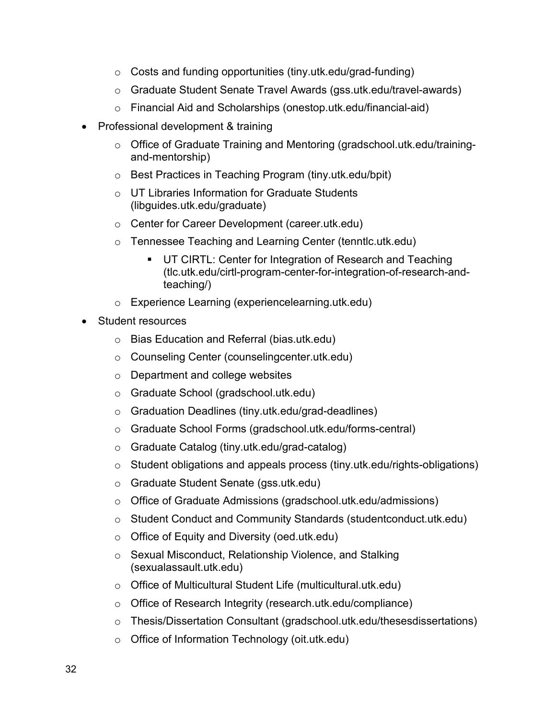- $\circ$  Costs and funding opportunities (tiny.utk.edu/grad-funding)
- o Graduate Student Senate Travel Awards (gss.utk.edu/travel-awards)
- o Financial Aid and Scholarships (onestop.utk.edu/financial-aid)
- Professional development & training
	- o Office of Graduate Training and Mentoring (gradschool.utk.edu/trainingand-mentorship)
	- o Best Practices in Teaching Program (tiny.utk.edu/bpit)
	- o UT Libraries Information for Graduate Students (libguides.utk.edu/graduate)
	- o Center for Career Development (career.utk.edu)
	- o Tennessee Teaching and Learning Center (tenntlc.utk.edu)
		- **UT CIRTL: Center for Integration of Research and Teaching** (tlc.utk.edu/cirtl-program-center-for-integration-of-research-andteaching/)
	- o Experience Learning (experiencelearning.utk.edu)
- Student resources
	- o Bias Education and Referral (bias.utk.edu)
	- o Counseling Center (counselingcenter.utk.edu)
	- o Department and college websites
	- o Graduate School (gradschool.utk.edu)
	- o Graduation Deadlines (tiny.utk.edu/grad-deadlines)
	- o Graduate School Forms (gradschool.utk.edu/forms-central)
	- o Graduate Catalog (tiny.utk.edu/grad-catalog)
	- o Student obligations and appeals process (tiny.utk.edu/rights-obligations)
	- o Graduate Student Senate (gss.utk.edu)
	- o Office of Graduate Admissions (gradschool.utk.edu/admissions)
	- o Student Conduct and Community Standards (studentconduct.utk.edu)
	- o Office of Equity and Diversity (oed.utk.edu)
	- o Sexual Misconduct, Relationship Violence, and Stalking (sexualassault.utk.edu)
	- o Office of Multicultural Student Life (multicultural.utk.edu)
	- o Office of Research Integrity (research.utk.edu/compliance)
	- $\circ$  Thesis/Dissertation Consultant (gradschool.utk.edu/thesesdissertations)
	- o Office of Information Technology (oit.utk.edu)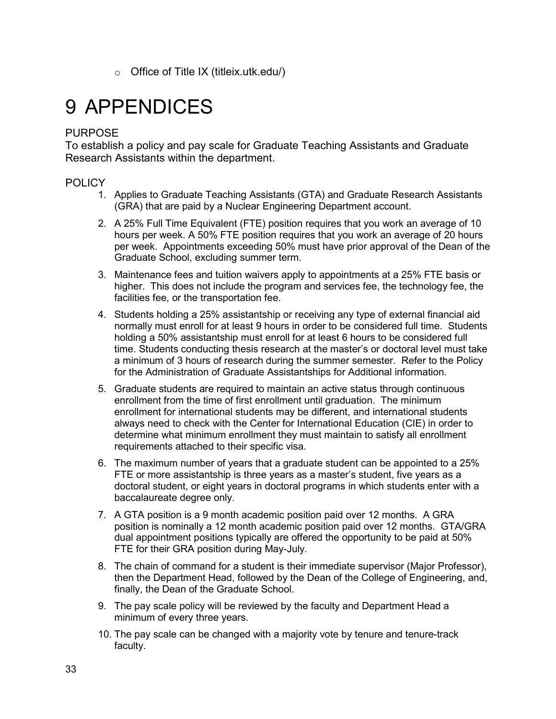$\circ$  Office of Title IX (titleix.utk.edu/)

# <span id="page-36-0"></span>9 APPENDICES

#### PURPOSE

To establish a policy and pay scale for Graduate Teaching Assistants and Graduate Research Assistants within the department.

#### POLICY

- 1. Applies to Graduate Teaching Assistants (GTA) and Graduate Research Assistants (GRA) that are paid by a Nuclear Engineering Department account.
- 2. A 25% Full Time Equivalent (FTE) position requires that you work an average of 10 hours per week. A 50% FTE position requires that you work an average of 20 hours per week. Appointments exceeding 50% must have prior approval of the Dean of the Graduate School, excluding summer term.
- 3. Maintenance fees and tuition waivers apply to appointments at a 25% FTE basis or higher. This does not include the program and services fee, the technology fee, the facilities fee, or the transportation fee.
- 4. Students holding a 25% assistantship or receiving any type of external financial aid normally must enroll for at least 9 hours in order to be considered full time. Students holding a 50% assistantship must enroll for at least 6 hours to be considered full time. Students conducting thesis research at the master's or doctoral level must take a minimum of 3 hours of research during the summer semester. Refer to the Policy for the Administration of Graduate Assistantships for Additional information.
- 5. Graduate students are required to maintain an active status through continuous enrollment from the time of first enrollment until graduation. The minimum enrollment for international students may be different, and international students always need to check with the Center for International Education (CIE) in order to determine what minimum enrollment they must maintain to satisfy all enrollment requirements attached to their specific visa.
- 6. The maximum number of years that a graduate student can be appointed to a 25% FTE or more assistantship is three years as a master's student, five years as a doctoral student, or eight years in doctoral programs in which students enter with a baccalaureate degree only.
- 7. A GTA position is a 9 month academic position paid over 12 months. A GRA position is nominally a 12 month academic position paid over 12 months. GTA/GRA dual appointment positions typically are offered the opportunity to be paid at 50% FTE for their GRA position during May-July.
- 8. The chain of command for a student is their immediate supervisor (Major Professor), then the Department Head, followed by the Dean of the College of Engineering, and, finally, the Dean of the Graduate School.
- 9. The pay scale policy will be reviewed by the faculty and Department Head a minimum of every three years.
- 10. The pay scale can be changed with a majority vote by tenure and tenure-track faculty.